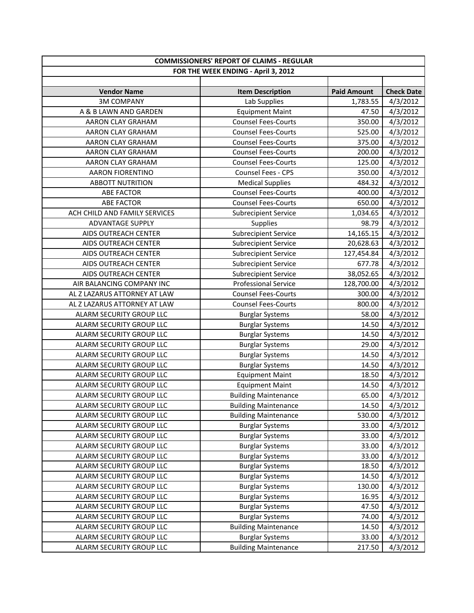| <b>COMMISSIONERS' REPORT OF CLAIMS - REGULAR</b> |                             |                    |                   |  |
|--------------------------------------------------|-----------------------------|--------------------|-------------------|--|
| FOR THE WEEK ENDING - April 3, 2012              |                             |                    |                   |  |
|                                                  |                             |                    |                   |  |
| <b>Vendor Name</b>                               | <b>Item Description</b>     | <b>Paid Amount</b> | <b>Check Date</b> |  |
| <b>3M COMPANY</b>                                | Lab Supplies                | 1,783.55           | 4/3/2012          |  |
| A & B LAWN AND GARDEN                            | <b>Equipment Maint</b>      | 47.50              | 4/3/2012          |  |
| AARON CLAY GRAHAM                                | <b>Counsel Fees-Courts</b>  | 350.00             | 4/3/2012          |  |
| AARON CLAY GRAHAM                                | <b>Counsel Fees-Courts</b>  | 525.00             | 4/3/2012          |  |
| AARON CLAY GRAHAM                                | <b>Counsel Fees-Courts</b>  | 375.00             | 4/3/2012          |  |
| AARON CLAY GRAHAM                                | <b>Counsel Fees-Courts</b>  | 200.00             | 4/3/2012          |  |
| AARON CLAY GRAHAM                                | <b>Counsel Fees-Courts</b>  | 125.00             | 4/3/2012          |  |
| <b>AARON FIORENTINO</b>                          | Counsel Fees - CPS          | 350.00             | 4/3/2012          |  |
| <b>ABBOTT NUTRITION</b>                          | <b>Medical Supplies</b>     | 484.32             | 4/3/2012          |  |
| <b>ABE FACTOR</b>                                | <b>Counsel Fees-Courts</b>  | 400.00             | 4/3/2012          |  |
| <b>ABE FACTOR</b>                                | <b>Counsel Fees-Courts</b>  | 650.00             | 4/3/2012          |  |
| ACH CHILD AND FAMILY SERVICES                    | <b>Subrecipient Service</b> | 1,034.65           | 4/3/2012          |  |
| <b>ADVANTAGE SUPPLY</b>                          | Supplies                    | 98.79              | 4/3/2012          |  |
| AIDS OUTREACH CENTER                             | Subrecipient Service        | 14,165.15          | 4/3/2012          |  |
| AIDS OUTREACH CENTER                             | <b>Subrecipient Service</b> | 20,628.63          | 4/3/2012          |  |
| AIDS OUTREACH CENTER                             | <b>Subrecipient Service</b> | 127,454.84         | 4/3/2012          |  |
| AIDS OUTREACH CENTER                             | <b>Subrecipient Service</b> | 677.78             | 4/3/2012          |  |
| AIDS OUTREACH CENTER                             | <b>Subrecipient Service</b> | 38,052.65          | 4/3/2012          |  |
| AIR BALANCING COMPANY INC                        | <b>Professional Service</b> | 128,700.00         | 4/3/2012          |  |
| AL Z LAZARUS ATTORNEY AT LAW                     | <b>Counsel Fees-Courts</b>  | 300.00             | 4/3/2012          |  |
| AL Z LAZARUS ATTORNEY AT LAW                     | <b>Counsel Fees-Courts</b>  | 800.00             | 4/3/2012          |  |
| ALARM SECURITY GROUP LLC                         | <b>Burglar Systems</b>      | 58.00              | 4/3/2012          |  |
| ALARM SECURITY GROUP LLC                         | <b>Burglar Systems</b>      | 14.50              | 4/3/2012          |  |
| ALARM SECURITY GROUP LLC                         | <b>Burglar Systems</b>      | 14.50              | 4/3/2012          |  |
| ALARM SECURITY GROUP LLC                         | <b>Burglar Systems</b>      | 29.00              | 4/3/2012          |  |
| ALARM SECURITY GROUP LLC                         | <b>Burglar Systems</b>      | 14.50              | 4/3/2012          |  |
| ALARM SECURITY GROUP LLC                         | <b>Burglar Systems</b>      | 14.50              | 4/3/2012          |  |
| ALARM SECURITY GROUP LLC                         | <b>Equipment Maint</b>      | 18.50              | 4/3/2012          |  |
| ALARM SECURITY GROUP LLC                         | <b>Equipment Maint</b>      | 14.50              | 4/3/2012          |  |
| ALARM SECURITY GROUP LLC                         | <b>Building Maintenance</b> | 65.00              | 4/3/2012          |  |
| ALARM SECURITY GROUP LLC                         | <b>Building Maintenance</b> | 14.50              | 4/3/2012          |  |
| ALARM SECURITY GROUP LLC                         | <b>Building Maintenance</b> | 530.00             | 4/3/2012          |  |
| ALARM SECURITY GROUP LLC                         | <b>Burglar Systems</b>      | 33.00              | 4/3/2012          |  |
| ALARM SECURITY GROUP LLC                         | <b>Burglar Systems</b>      | 33.00              | 4/3/2012          |  |
| ALARM SECURITY GROUP LLC                         | <b>Burglar Systems</b>      | 33.00              | 4/3/2012          |  |
| ALARM SECURITY GROUP LLC                         | <b>Burglar Systems</b>      | 33.00              | 4/3/2012          |  |
| ALARM SECURITY GROUP LLC                         | <b>Burglar Systems</b>      | 18.50              | 4/3/2012          |  |
| ALARM SECURITY GROUP LLC                         | <b>Burglar Systems</b>      | 14.50              | 4/3/2012          |  |
| ALARM SECURITY GROUP LLC                         | <b>Burglar Systems</b>      | 130.00             | 4/3/2012          |  |
| ALARM SECURITY GROUP LLC                         | <b>Burglar Systems</b>      | 16.95              | 4/3/2012          |  |
| ALARM SECURITY GROUP LLC                         | <b>Burglar Systems</b>      | 47.50              | 4/3/2012          |  |
| ALARM SECURITY GROUP LLC                         | <b>Burglar Systems</b>      | 74.00              | 4/3/2012          |  |
| ALARM SECURITY GROUP LLC                         | <b>Building Maintenance</b> | 14.50              | 4/3/2012          |  |
| ALARM SECURITY GROUP LLC                         | <b>Burglar Systems</b>      | 33.00              | 4/3/2012          |  |
| ALARM SECURITY GROUP LLC                         | <b>Building Maintenance</b> | 217.50             | 4/3/2012          |  |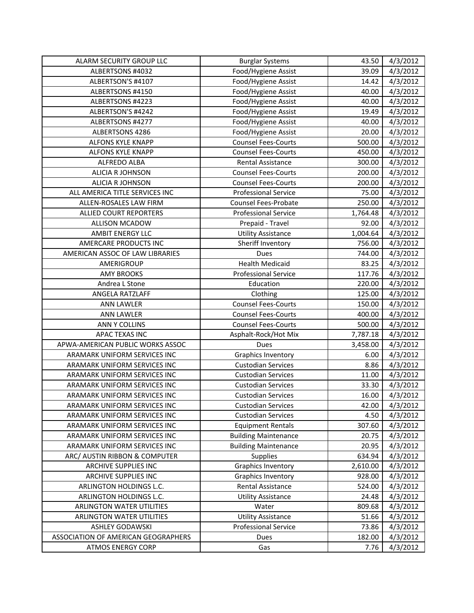| ALARM SECURITY GROUP LLC            | <b>Burglar Systems</b>      | 43.50    | 4/3/2012 |
|-------------------------------------|-----------------------------|----------|----------|
| ALBERTSONS #4032                    | Food/Hygiene Assist         | 39.09    | 4/3/2012 |
| ALBERTSON'S #4107                   | Food/Hygiene Assist         | 14.42    | 4/3/2012 |
| ALBERTSONS #4150                    | Food/Hygiene Assist         | 40.00    | 4/3/2012 |
| ALBERTSONS #4223                    | Food/Hygiene Assist         | 40.00    | 4/3/2012 |
| ALBERTSON'S #4242                   | Food/Hygiene Assist         | 19.49    | 4/3/2012 |
| ALBERTSONS #4277                    | Food/Hygiene Assist         | 40.00    | 4/3/2012 |
| ALBERTSONS 4286                     | Food/Hygiene Assist         | 20.00    | 4/3/2012 |
| <b>ALFONS KYLE KNAPP</b>            | <b>Counsel Fees-Courts</b>  | 500.00   | 4/3/2012 |
| ALFONS KYLE KNAPP                   | <b>Counsel Fees-Courts</b>  | 450.00   | 4/3/2012 |
| ALFREDO ALBA                        | <b>Rental Assistance</b>    | 300.00   | 4/3/2012 |
| <b>ALICIA R JOHNSON</b>             | <b>Counsel Fees-Courts</b>  | 200.00   | 4/3/2012 |
| <b>ALICIA R JOHNSON</b>             | <b>Counsel Fees-Courts</b>  | 200.00   | 4/3/2012 |
| ALL AMERICA TITLE SERVICES INC      | <b>Professional Service</b> | 75.00    | 4/3/2012 |
| ALLEN-ROSALES LAW FIRM              | Counsel Fees-Probate        | 250.00   | 4/3/2012 |
| <b>ALLIED COURT REPORTERS</b>       | <b>Professional Service</b> | 1,764.48 | 4/3/2012 |
| ALLISON MCADOW                      | Prepaid - Travel            | 92.00    | 4/3/2012 |
| AMBIT ENERGY LLC                    | <b>Utility Assistance</b>   | 1,004.64 | 4/3/2012 |
| AMERCARE PRODUCTS INC               | Sheriff Inventory           | 756.00   | 4/3/2012 |
| AMERICAN ASSOC OF LAW LIBRARIES     | Dues                        | 744.00   | 4/3/2012 |
| AMERIGROUP                          | <b>Health Medicaid</b>      | 83.25    | 4/3/2012 |
| <b>AMY BROOKS</b>                   | <b>Professional Service</b> | 117.76   | 4/3/2012 |
| Andrea L Stone                      | Education                   | 220.00   | 4/3/2012 |
| ANGELA RATZLAFF                     | Clothing                    | 125.00   | 4/3/2012 |
| <b>ANN LAWLER</b>                   | <b>Counsel Fees-Courts</b>  | 150.00   | 4/3/2012 |
| <b>ANN LAWLER</b>                   | <b>Counsel Fees-Courts</b>  | 400.00   | 4/3/2012 |
| <b>ANN Y COLLINS</b>                | <b>Counsel Fees-Courts</b>  | 500.00   | 4/3/2012 |
| APAC TEXAS INC                      | Asphalt-Rock/Hot Mix        | 7,787.18 | 4/3/2012 |
| APWA-AMERICAN PUBLIC WORKS ASSOC    | Dues                        | 3,458.00 | 4/3/2012 |
| ARAMARK UNIFORM SERVICES INC        | <b>Graphics Inventory</b>   | 6.00     | 4/3/2012 |
| ARAMARK UNIFORM SERVICES INC        | <b>Custodian Services</b>   | 8.86     | 4/3/2012 |
| ARAMARK UNIFORM SERVICES INC        | <b>Custodian Services</b>   | 11.00    | 4/3/2012 |
| ARAMARK UNIFORM SERVICES INC        | <b>Custodian Services</b>   | 33.30    | 4/3/2012 |
| ARAMARK UNIFORM SERVICES INC        | <b>Custodian Services</b>   | 16.00    | 4/3/2012 |
| ARAMARK UNIFORM SERVICES INC        | <b>Custodian Services</b>   | 42.00    | 4/3/2012 |
| ARAMARK UNIFORM SERVICES INC        | <b>Custodian Services</b>   | 4.50     | 4/3/2012 |
| ARAMARK UNIFORM SERVICES INC        | <b>Equipment Rentals</b>    | 307.60   | 4/3/2012 |
| ARAMARK UNIFORM SERVICES INC        | <b>Building Maintenance</b> | 20.75    | 4/3/2012 |
| ARAMARK UNIFORM SERVICES INC        | <b>Building Maintenance</b> | 20.95    | 4/3/2012 |
| ARC/ AUSTIN RIBBON & COMPUTER       | <b>Supplies</b>             | 634.94   | 4/3/2012 |
| ARCHIVE SUPPLIES INC                | <b>Graphics Inventory</b>   | 2,610.00 | 4/3/2012 |
| ARCHIVE SUPPLIES INC                | Graphics Inventory          | 928.00   | 4/3/2012 |
| ARLINGTON HOLDINGS L.C.             | <b>Rental Assistance</b>    | 524.00   | 4/3/2012 |
| ARLINGTON HOLDINGS L.C.             | <b>Utility Assistance</b>   | 24.48    | 4/3/2012 |
| <b>ARLINGTON WATER UTILITIES</b>    | Water                       | 809.68   | 4/3/2012 |
| <b>ARLINGTON WATER UTILITIES</b>    | <b>Utility Assistance</b>   | 51.66    | 4/3/2012 |
| <b>ASHLEY GODAWSKI</b>              | <b>Professional Service</b> | 73.86    | 4/3/2012 |
| ASSOCIATION OF AMERICAN GEOGRAPHERS | Dues                        | 182.00   | 4/3/2012 |
| <b>ATMOS ENERGY CORP</b>            | Gas                         | 7.76     | 4/3/2012 |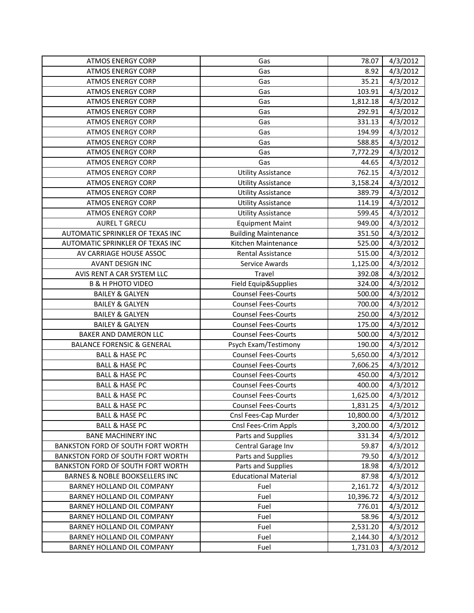| <b>ATMOS ENERGY CORP</b>              | Gas                         | 78.07     | 4/3/2012 |
|---------------------------------------|-----------------------------|-----------|----------|
| <b>ATMOS ENERGY CORP</b>              | Gas                         | 8.92      | 4/3/2012 |
| <b>ATMOS ENERGY CORP</b>              | Gas                         | 35.21     | 4/3/2012 |
| <b>ATMOS ENERGY CORP</b>              | Gas                         | 103.91    | 4/3/2012 |
| <b>ATMOS ENERGY CORP</b>              | Gas                         | 1,812.18  | 4/3/2012 |
| <b>ATMOS ENERGY CORP</b>              | Gas                         | 292.91    | 4/3/2012 |
| <b>ATMOS ENERGY CORP</b>              | Gas                         | 331.13    | 4/3/2012 |
| <b>ATMOS ENERGY CORP</b>              | Gas                         | 194.99    | 4/3/2012 |
| <b>ATMOS ENERGY CORP</b>              | Gas                         | 588.85    | 4/3/2012 |
| <b>ATMOS ENERGY CORP</b>              | Gas                         | 7,772.29  | 4/3/2012 |
| <b>ATMOS ENERGY CORP</b>              | Gas                         | 44.65     | 4/3/2012 |
| <b>ATMOS ENERGY CORP</b>              | <b>Utility Assistance</b>   | 762.15    | 4/3/2012 |
| <b>ATMOS ENERGY CORP</b>              | <b>Utility Assistance</b>   | 3,158.24  | 4/3/2012 |
| <b>ATMOS ENERGY CORP</b>              | <b>Utility Assistance</b>   | 389.79    | 4/3/2012 |
| <b>ATMOS ENERGY CORP</b>              | <b>Utility Assistance</b>   | 114.19    | 4/3/2012 |
| <b>ATMOS ENERGY CORP</b>              | <b>Utility Assistance</b>   | 599.45    | 4/3/2012 |
| <b>AUREL T GRECU</b>                  | <b>Equipment Maint</b>      | 949.00    | 4/3/2012 |
| AUTOMATIC SPRINKLER OF TEXAS INC      | <b>Building Maintenance</b> | 351.50    | 4/3/2012 |
| AUTOMATIC SPRINKLER OF TEXAS INC      | Kitchen Maintenance         | 525.00    | 4/3/2012 |
| AV CARRIAGE HOUSE ASSOC               | <b>Rental Assistance</b>    | 515.00    | 4/3/2012 |
| <b>AVANT DESIGN INC</b>               | Service Awards              | 1,125.00  | 4/3/2012 |
| AVIS RENT A CAR SYSTEM LLC            | Travel                      | 392.08    | 4/3/2012 |
| <b>B &amp; H PHOTO VIDEO</b>          | Field Equip&Supplies        | 324.00    | 4/3/2012 |
| <b>BAILEY &amp; GALYEN</b>            | <b>Counsel Fees-Courts</b>  | 500.00    | 4/3/2012 |
| <b>BAILEY &amp; GALYEN</b>            | <b>Counsel Fees-Courts</b>  | 700.00    | 4/3/2012 |
| <b>BAILEY &amp; GALYEN</b>            | <b>Counsel Fees-Courts</b>  | 250.00    | 4/3/2012 |
| <b>BAILEY &amp; GALYEN</b>            | <b>Counsel Fees-Courts</b>  | 175.00    | 4/3/2012 |
| BAKER AND DAMERON LLC                 | <b>Counsel Fees-Courts</b>  | 500.00    | 4/3/2012 |
| <b>BALANCE FORENSIC &amp; GENERAL</b> | Psych Exam/Testimony        | 190.00    | 4/3/2012 |
| <b>BALL &amp; HASE PC</b>             | <b>Counsel Fees-Courts</b>  | 5,650.00  | 4/3/2012 |
| <b>BALL &amp; HASE PC</b>             | <b>Counsel Fees-Courts</b>  | 7,606.25  | 4/3/2012 |
| <b>BALL &amp; HASE PC</b>             | <b>Counsel Fees-Courts</b>  | 450.00    | 4/3/2012 |
| <b>BALL &amp; HASE PC</b>             | <b>Counsel Fees-Courts</b>  | 400.00    | 4/3/2012 |
| <b>BALL &amp; HASE PC</b>             | <b>Counsel Fees-Courts</b>  | 1,625.00  | 4/3/2012 |
| BALL & HASE PC                        | <b>Counsel Fees-Courts</b>  | 1,831.25  | 4/3/2012 |
| <b>BALL &amp; HASE PC</b>             | Cnsl Fees-Cap Murder        | 10,800.00 | 4/3/2012 |
| <b>BALL &amp; HASE PC</b>             | Cnsl Fees-Crim Appls        | 3,200.00  | 4/3/2012 |
| <b>BANE MACHINERY INC</b>             | Parts and Supplies          | 331.34    | 4/3/2012 |
| BANKSTON FORD OF SOUTH FORT WORTH     | Central Garage Inv          | 59.87     | 4/3/2012 |
| BANKSTON FORD OF SOUTH FORT WORTH     | Parts and Supplies          | 79.50     | 4/3/2012 |
| BANKSTON FORD OF SOUTH FORT WORTH     | Parts and Supplies          | 18.98     | 4/3/2012 |
| BARNES & NOBLE BOOKSELLERS INC        | <b>Educational Material</b> | 87.98     | 4/3/2012 |
| BARNEY HOLLAND OIL COMPANY            | Fuel                        | 2,161.72  | 4/3/2012 |
| BARNEY HOLLAND OIL COMPANY            | Fuel                        | 10,396.72 | 4/3/2012 |
| BARNEY HOLLAND OIL COMPANY            | Fuel                        | 776.01    | 4/3/2012 |
| BARNEY HOLLAND OIL COMPANY            | Fuel                        | 58.96     | 4/3/2012 |
| BARNEY HOLLAND OIL COMPANY            | Fuel                        | 2,531.20  | 4/3/2012 |
| BARNEY HOLLAND OIL COMPANY            | Fuel                        | 2,144.30  | 4/3/2012 |
| BARNEY HOLLAND OIL COMPANY            | Fuel                        | 1,731.03  | 4/3/2012 |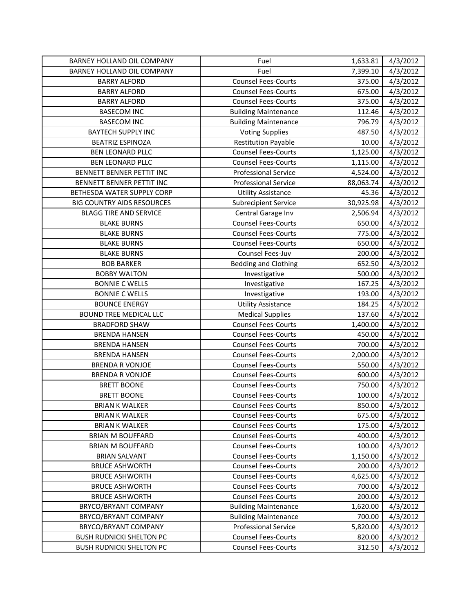| BARNEY HOLLAND OIL COMPANY        | Fuel                        | 1,633.81  | 4/3/2012 |
|-----------------------------------|-----------------------------|-----------|----------|
| BARNEY HOLLAND OIL COMPANY        | Fuel                        | 7,399.10  | 4/3/2012 |
| <b>BARRY ALFORD</b>               | <b>Counsel Fees-Courts</b>  | 375.00    | 4/3/2012 |
| <b>BARRY ALFORD</b>               | <b>Counsel Fees-Courts</b>  | 675.00    | 4/3/2012 |
| <b>BARRY ALFORD</b>               | <b>Counsel Fees-Courts</b>  | 375.00    | 4/3/2012 |
| <b>BASECOM INC</b>                | <b>Building Maintenance</b> | 112.46    | 4/3/2012 |
| <b>BASECOM INC</b>                | <b>Building Maintenance</b> | 796.79    | 4/3/2012 |
| <b>BAYTECH SUPPLY INC</b>         | <b>Voting Supplies</b>      | 487.50    | 4/3/2012 |
| <b>BEATRIZ ESPINOZA</b>           | <b>Restitution Payable</b>  | 10.00     | 4/3/2012 |
| <b>BEN LEONARD PLLC</b>           | <b>Counsel Fees-Courts</b>  | 1,125.00  | 4/3/2012 |
| <b>BEN LEONARD PLLC</b>           | <b>Counsel Fees-Courts</b>  | 1,115.00  | 4/3/2012 |
| BENNETT BENNER PETTIT INC         | <b>Professional Service</b> | 4,524.00  | 4/3/2012 |
| BENNETT BENNER PETTIT INC         | <b>Professional Service</b> | 88,063.74 | 4/3/2012 |
| BETHESDA WATER SUPPLY CORP        | <b>Utility Assistance</b>   | 45.36     | 4/3/2012 |
| <b>BIG COUNTRY AIDS RESOURCES</b> | <b>Subrecipient Service</b> | 30,925.98 | 4/3/2012 |
| <b>BLAGG TIRE AND SERVICE</b>     | Central Garage Inv          | 2,506.94  | 4/3/2012 |
| <b>BLAKE BURNS</b>                | <b>Counsel Fees-Courts</b>  | 650.00    | 4/3/2012 |
| <b>BLAKE BURNS</b>                | <b>Counsel Fees-Courts</b>  | 775.00    | 4/3/2012 |
| <b>BLAKE BURNS</b>                | <b>Counsel Fees-Courts</b>  | 650.00    | 4/3/2012 |
| <b>BLAKE BURNS</b>                | Counsel Fees-Juv            | 200.00    | 4/3/2012 |
| <b>BOB BARKER</b>                 | <b>Bedding and Clothing</b> | 652.50    | 4/3/2012 |
| <b>BOBBY WALTON</b>               | Investigative               | 500.00    | 4/3/2012 |
| <b>BONNIE C WELLS</b>             | Investigative               | 167.25    | 4/3/2012 |
| <b>BONNIE C WELLS</b>             | Investigative               | 193.00    | 4/3/2012 |
| <b>BOUNCE ENERGY</b>              | <b>Utility Assistance</b>   | 184.25    | 4/3/2012 |
| <b>BOUND TREE MEDICAL LLC</b>     | <b>Medical Supplies</b>     | 137.60    | 4/3/2012 |
| <b>BRADFORD SHAW</b>              | <b>Counsel Fees-Courts</b>  | 1,400.00  | 4/3/2012 |
| <b>BRENDA HANSEN</b>              | <b>Counsel Fees-Courts</b>  | 450.00    | 4/3/2012 |
| <b>BRENDA HANSEN</b>              | <b>Counsel Fees-Courts</b>  | 700.00    | 4/3/2012 |
| <b>BRENDA HANSEN</b>              | <b>Counsel Fees-Courts</b>  | 2,000.00  | 4/3/2012 |
| <b>BRENDA R VONJOE</b>            | <b>Counsel Fees-Courts</b>  | 550.00    | 4/3/2012 |
| <b>BRENDA R VONJOE</b>            | <b>Counsel Fees-Courts</b>  | 600.00    | 4/3/2012 |
| <b>BRETT BOONE</b>                | <b>Counsel Fees-Courts</b>  | 750.00    | 4/3/2012 |
| <b>BRETT BOONE</b>                | <b>Counsel Fees-Courts</b>  | 100.00    | 4/3/2012 |
| <b>BRIAN K WALKER</b>             | <b>Counsel Fees-Courts</b>  | 850.00    | 4/3/2012 |
| <b>BRIAN K WALKER</b>             | <b>Counsel Fees-Courts</b>  | 675.00    | 4/3/2012 |
| <b>BRIAN K WALKER</b>             | <b>Counsel Fees-Courts</b>  | 175.00    | 4/3/2012 |
| <b>BRIAN M BOUFFARD</b>           | <b>Counsel Fees-Courts</b>  | 400.00    | 4/3/2012 |
| <b>BRIAN M BOUFFARD</b>           | <b>Counsel Fees-Courts</b>  | 100.00    | 4/3/2012 |
| <b>BRIAN SALVANT</b>              | <b>Counsel Fees-Courts</b>  | 1,150.00  | 4/3/2012 |
| <b>BRUCE ASHWORTH</b>             | <b>Counsel Fees-Courts</b>  | 200.00    | 4/3/2012 |
| <b>BRUCE ASHWORTH</b>             | <b>Counsel Fees-Courts</b>  | 4,625.00  | 4/3/2012 |
| <b>BRUCE ASHWORTH</b>             | <b>Counsel Fees-Courts</b>  | 700.00    | 4/3/2012 |
| <b>BRUCE ASHWORTH</b>             | <b>Counsel Fees-Courts</b>  | 200.00    | 4/3/2012 |
| BRYCO/BRYANT COMPANY              | <b>Building Maintenance</b> | 1,620.00  | 4/3/2012 |
| BRYCO/BRYANT COMPANY              | <b>Building Maintenance</b> | 700.00    | 4/3/2012 |
| BRYCO/BRYANT COMPANY              | <b>Professional Service</b> | 5,820.00  | 4/3/2012 |
| <b>BUSH RUDNICKI SHELTON PC</b>   | <b>Counsel Fees-Courts</b>  | 820.00    | 4/3/2012 |
| <b>BUSH RUDNICKI SHELTON PC</b>   | <b>Counsel Fees-Courts</b>  | 312.50    | 4/3/2012 |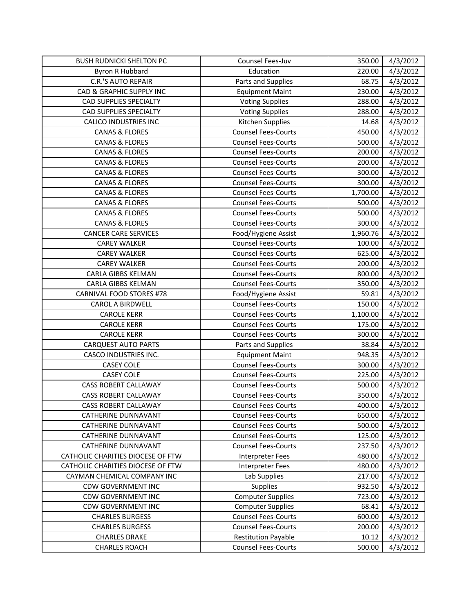| <b>BUSH RUDNICKI SHELTON PC</b>   | Counsel Fees-Juv           | 350.00   | 4/3/2012 |
|-----------------------------------|----------------------------|----------|----------|
| Byron R Hubbard                   | Education                  | 220.00   | 4/3/2012 |
| <b>C.R.'S AUTO REPAIR</b>         | Parts and Supplies         | 68.75    | 4/3/2012 |
| CAD & GRAPHIC SUPPLY INC          | <b>Equipment Maint</b>     | 230.00   | 4/3/2012 |
| <b>CAD SUPPLIES SPECIALTY</b>     | <b>Voting Supplies</b>     | 288.00   | 4/3/2012 |
| CAD SUPPLIES SPECIALTY            | <b>Voting Supplies</b>     | 288.00   | 4/3/2012 |
| <b>CALICO INDUSTRIES INC</b>      | Kitchen Supplies           | 14.68    | 4/3/2012 |
| <b>CANAS &amp; FLORES</b>         | <b>Counsel Fees-Courts</b> | 450.00   | 4/3/2012 |
| <b>CANAS &amp; FLORES</b>         | <b>Counsel Fees-Courts</b> | 500.00   | 4/3/2012 |
| <b>CANAS &amp; FLORES</b>         | <b>Counsel Fees-Courts</b> | 200.00   | 4/3/2012 |
| <b>CANAS &amp; FLORES</b>         | <b>Counsel Fees-Courts</b> | 200.00   | 4/3/2012 |
| <b>CANAS &amp; FLORES</b>         | <b>Counsel Fees-Courts</b> | 300.00   | 4/3/2012 |
| <b>CANAS &amp; FLORES</b>         | <b>Counsel Fees-Courts</b> | 300.00   | 4/3/2012 |
| <b>CANAS &amp; FLORES</b>         | <b>Counsel Fees-Courts</b> | 1,700.00 | 4/3/2012 |
| <b>CANAS &amp; FLORES</b>         | <b>Counsel Fees-Courts</b> | 500.00   | 4/3/2012 |
| <b>CANAS &amp; FLORES</b>         | <b>Counsel Fees-Courts</b> | 500.00   | 4/3/2012 |
| <b>CANAS &amp; FLORES</b>         | <b>Counsel Fees-Courts</b> | 300.00   | 4/3/2012 |
| <b>CANCER CARE SERVICES</b>       | Food/Hygiene Assist        | 1,960.76 | 4/3/2012 |
| <b>CAREY WALKER</b>               | <b>Counsel Fees-Courts</b> | 100.00   | 4/3/2012 |
| <b>CAREY WALKER</b>               | <b>Counsel Fees-Courts</b> | 625.00   | 4/3/2012 |
| <b>CAREY WALKER</b>               | <b>Counsel Fees-Courts</b> | 200.00   | 4/3/2012 |
| CARLA GIBBS KELMAN                | <b>Counsel Fees-Courts</b> | 800.00   | 4/3/2012 |
| CARLA GIBBS KELMAN                | <b>Counsel Fees-Courts</b> | 350.00   | 4/3/2012 |
| CARNIVAL FOOD STORES #78          | Food/Hygiene Assist        | 59.81    | 4/3/2012 |
| <b>CAROL A BIRDWELL</b>           | <b>Counsel Fees-Courts</b> | 150.00   | 4/3/2012 |
| <b>CAROLE KERR</b>                | <b>Counsel Fees-Courts</b> | 1,100.00 | 4/3/2012 |
| <b>CAROLE KERR</b>                | <b>Counsel Fees-Courts</b> | 175.00   | 4/3/2012 |
| <b>CAROLE KERR</b>                | <b>Counsel Fees-Courts</b> | 300.00   | 4/3/2012 |
| <b>CARQUEST AUTO PARTS</b>        | Parts and Supplies         | 38.84    | 4/3/2012 |
| CASCO INDUSTRIES INC.             | <b>Equipment Maint</b>     | 948.35   | 4/3/2012 |
| <b>CASEY COLE</b>                 | <b>Counsel Fees-Courts</b> | 300.00   | 4/3/2012 |
| <b>CASEY COLE</b>                 | <b>Counsel Fees-Courts</b> | 225.00   | 4/3/2012 |
| <b>CASS ROBERT CALLAWAY</b>       | <b>Counsel Fees-Courts</b> | 500.00   | 4/3/2012 |
| <b>CASS ROBERT CALLAWAY</b>       | <b>Counsel Fees-Courts</b> | 350.00   | 4/3/2012 |
| <b>CASS ROBERT CALLAWAY</b>       | <b>Counsel Fees-Courts</b> | 400.00   | 4/3/2012 |
| CATHERINE DUNNAVANT               | <b>Counsel Fees-Courts</b> | 650.00   | 4/3/2012 |
| <b>CATHERINE DUNNAVANT</b>        | <b>Counsel Fees-Courts</b> | 500.00   | 4/3/2012 |
| <b>CATHERINE DUNNAVANT</b>        | <b>Counsel Fees-Courts</b> | 125.00   | 4/3/2012 |
| <b>CATHERINE DUNNAVANT</b>        | <b>Counsel Fees-Courts</b> | 237.50   | 4/3/2012 |
| CATHOLIC CHARITIES DIOCESE OF FTW | <b>Interpreter Fees</b>    | 480.00   | 4/3/2012 |
| CATHOLIC CHARITIES DIOCESE OF FTW | <b>Interpreter Fees</b>    | 480.00   | 4/3/2012 |
| CAYMAN CHEMICAL COMPANY INC       | Lab Supplies               | 217.00   | 4/3/2012 |
| <b>CDW GOVERNMENT INC</b>         | Supplies                   | 932.50   | 4/3/2012 |
| <b>CDW GOVERNMENT INC</b>         | <b>Computer Supplies</b>   | 723.00   | 4/3/2012 |
| <b>CDW GOVERNMENT INC</b>         | <b>Computer Supplies</b>   | 68.41    | 4/3/2012 |
| <b>CHARLES BURGESS</b>            | <b>Counsel Fees-Courts</b> | 600.00   | 4/3/2012 |
| <b>CHARLES BURGESS</b>            | <b>Counsel Fees-Courts</b> | 200.00   | 4/3/2012 |
| <b>CHARLES DRAKE</b>              | <b>Restitution Payable</b> | 10.12    | 4/3/2012 |
| <b>CHARLES ROACH</b>              | <b>Counsel Fees-Courts</b> | 500.00   | 4/3/2012 |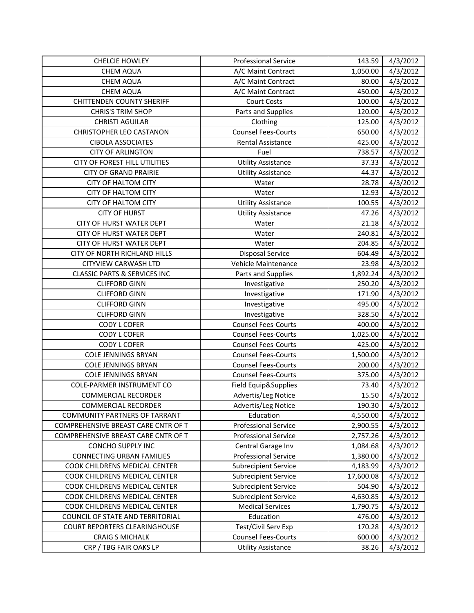| <b>CHELCIE HOWLEY</b>                   | <b>Professional Service</b> | 143.59    | 4/3/2012 |
|-----------------------------------------|-----------------------------|-----------|----------|
| <b>CHEM AQUA</b>                        | A/C Maint Contract          | 1,050.00  | 4/3/2012 |
| CHEM AQUA                               | A/C Maint Contract          | 80.00     | 4/3/2012 |
| CHEM AQUA                               | A/C Maint Contract          | 450.00    | 4/3/2012 |
| <b>CHITTENDEN COUNTY SHERIFF</b>        | <b>Court Costs</b>          | 100.00    | 4/3/2012 |
| <b>CHRIS'S TRIM SHOP</b>                | Parts and Supplies          | 120.00    | 4/3/2012 |
| <b>CHRISTI AGUILAR</b>                  | Clothing                    | 125.00    | 4/3/2012 |
| CHRISTOPHER LEO CASTANON                | <b>Counsel Fees-Courts</b>  | 650.00    | 4/3/2012 |
| <b>CIBOLA ASSOCIATES</b>                | Rental Assistance           | 425.00    | 4/3/2012 |
| <b>CITY OF ARLINGTON</b>                | Fuel                        | 738.57    | 4/3/2012 |
| CITY OF FOREST HILL UTILITIES           | <b>Utility Assistance</b>   | 37.33     | 4/3/2012 |
| <b>CITY OF GRAND PRAIRIE</b>            | <b>Utility Assistance</b>   | 44.37     | 4/3/2012 |
| <b>CITY OF HALTOM CITY</b>              | Water                       | 28.78     | 4/3/2012 |
| CITY OF HALTOM CITY                     | Water                       | 12.93     | 4/3/2012 |
| <b>CITY OF HALTOM CITY</b>              | <b>Utility Assistance</b>   | 100.55    | 4/3/2012 |
| <b>CITY OF HURST</b>                    | <b>Utility Assistance</b>   | 47.26     | 4/3/2012 |
| CITY OF HURST WATER DEPT                | Water                       | 21.18     | 4/3/2012 |
| CITY OF HURST WATER DEPT                | Water                       | 240.81    | 4/3/2012 |
| CITY OF HURST WATER DEPT                | Water                       | 204.85    | 4/3/2012 |
| CITY OF NORTH RICHLAND HILLS            | <b>Disposal Service</b>     | 604.49    | 4/3/2012 |
| <b>CITYVIEW CARWASH LTD</b>             | Vehicle Maintenance         | 23.98     | 4/3/2012 |
| <b>CLASSIC PARTS &amp; SERVICES INC</b> | Parts and Supplies          | 1,892.24  | 4/3/2012 |
| <b>CLIFFORD GINN</b>                    | Investigative               | 250.20    | 4/3/2012 |
| <b>CLIFFORD GINN</b>                    | Investigative               | 171.90    | 4/3/2012 |
| <b>CLIFFORD GINN</b>                    | Investigative               | 495.00    | 4/3/2012 |
| <b>CLIFFORD GINN</b>                    | Investigative               | 328.50    | 4/3/2012 |
| <b>CODY L COFER</b>                     | <b>Counsel Fees-Courts</b>  | 400.00    | 4/3/2012 |
| <b>CODY L COFER</b>                     | <b>Counsel Fees-Courts</b>  | 1,025.00  | 4/3/2012 |
| <b>CODY L COFER</b>                     | <b>Counsel Fees-Courts</b>  | 425.00    | 4/3/2012 |
| <b>COLE JENNINGS BRYAN</b>              | <b>Counsel Fees-Courts</b>  | 1,500.00  | 4/3/2012 |
| <b>COLE JENNINGS BRYAN</b>              | <b>Counsel Fees-Courts</b>  | 200.00    | 4/3/2012 |
| <b>COLE JENNINGS BRYAN</b>              | <b>Counsel Fees-Courts</b>  | 375.00    | 4/3/2012 |
| <b>COLE-PARMER INSTRUMENT CO</b>        | Field Equip&Supplies        | 73.40     | 4/3/2012 |
| <b>COMMERCIAL RECORDER</b>              | Advertis/Leg Notice         | 15.50     | 4/3/2012 |
| <b>COMMERCIAL RECORDER</b>              | Advertis/Leg Notice         | 190.30    | 4/3/2012 |
| COMMUNITY PARTNERS OF TARRANT           | Education                   | 4,550.00  | 4/3/2012 |
| COMPREHENSIVE BREAST CARE CNTR OF T     | <b>Professional Service</b> | 2,900.55  | 4/3/2012 |
| COMPREHENSIVE BREAST CARE CNTR OF T     | <b>Professional Service</b> | 2,757.26  | 4/3/2012 |
| CONCHO SUPPLY INC                       | Central Garage Inv          | 1,084.68  | 4/3/2012 |
| <b>CONNECTING URBAN FAMILIES</b>        | <b>Professional Service</b> | 1,380.00  | 4/3/2012 |
| COOK CHILDRENS MEDICAL CENTER           | <b>Subrecipient Service</b> | 4,183.99  | 4/3/2012 |
| COOK CHILDRENS MEDICAL CENTER           | <b>Subrecipient Service</b> | 17,600.08 | 4/3/2012 |
| COOK CHILDRENS MEDICAL CENTER           | <b>Subrecipient Service</b> | 504.90    | 4/3/2012 |
| COOK CHILDRENS MEDICAL CENTER           | <b>Subrecipient Service</b> | 4,630.85  | 4/3/2012 |
| COOK CHILDRENS MEDICAL CENTER           | <b>Medical Services</b>     | 1,790.75  | 4/3/2012 |
| COUNCIL OF STATE AND TERRITORIAL        | Education                   | 476.00    | 4/3/2012 |
| <b>COURT REPORTERS CLEARINGHOUSE</b>    | Test/Civil Serv Exp         | 170.28    | 4/3/2012 |
| <b>CRAIG S MICHALK</b>                  | <b>Counsel Fees-Courts</b>  | 600.00    | 4/3/2012 |
| CRP / TBG FAIR OAKS LP                  | <b>Utility Assistance</b>   | 38.26     | 4/3/2012 |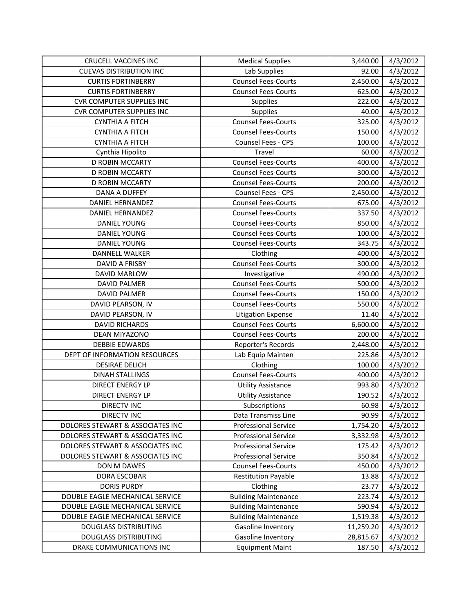| <b>CRUCELL VACCINES INC</b>      | <b>Medical Supplies</b>     | 3,440.00  | 4/3/2012 |
|----------------------------------|-----------------------------|-----------|----------|
| <b>CUEVAS DISTRIBUTION INC</b>   | Lab Supplies                | 92.00     | 4/3/2012 |
| <b>CURTIS FORTINBERRY</b>        | <b>Counsel Fees-Courts</b>  | 2,450.00  | 4/3/2012 |
| <b>CURTIS FORTINBERRY</b>        | <b>Counsel Fees-Courts</b>  | 625.00    | 4/3/2012 |
| <b>CVR COMPUTER SUPPLIES INC</b> | Supplies                    | 222.00    | 4/3/2012 |
| <b>CVR COMPUTER SUPPLIES INC</b> | Supplies                    | 40.00     | 4/3/2012 |
| <b>CYNTHIA A FITCH</b>           | <b>Counsel Fees-Courts</b>  | 325.00    | 4/3/2012 |
| <b>CYNTHIA A FITCH</b>           | <b>Counsel Fees-Courts</b>  | 150.00    | 4/3/2012 |
| <b>CYNTHIA A FITCH</b>           | Counsel Fees - CPS          | 100.00    | 4/3/2012 |
| Cynthia Hipolito                 | Travel                      | 60.00     | 4/3/2012 |
| <b>D ROBIN MCCARTY</b>           | <b>Counsel Fees-Courts</b>  | 400.00    | 4/3/2012 |
| D ROBIN MCCARTY                  | <b>Counsel Fees-Courts</b>  | 300.00    | 4/3/2012 |
| <b>D ROBIN MCCARTY</b>           | <b>Counsel Fees-Courts</b>  | 200.00    | 4/3/2012 |
| <b>DANA A DUFFEY</b>             | Counsel Fees - CPS          | 2,450.00  | 4/3/2012 |
| <b>DANIEL HERNANDEZ</b>          | <b>Counsel Fees-Courts</b>  | 675.00    | 4/3/2012 |
| DANIEL HERNANDEZ                 | <b>Counsel Fees-Courts</b>  | 337.50    | 4/3/2012 |
| <b>DANIEL YOUNG</b>              | <b>Counsel Fees-Courts</b>  | 850.00    | 4/3/2012 |
| DANIEL YOUNG                     | <b>Counsel Fees-Courts</b>  | 100.00    | 4/3/2012 |
| <b>DANIEL YOUNG</b>              | <b>Counsel Fees-Courts</b>  | 343.75    | 4/3/2012 |
| <b>DANNELL WALKER</b>            | Clothing                    | 400.00    | 4/3/2012 |
| DAVID A FRISBY                   | <b>Counsel Fees-Courts</b>  | 300.00    | 4/3/2012 |
| <b>DAVID MARLOW</b>              | Investigative               | 490.00    | 4/3/2012 |
| DAVID PALMER                     | <b>Counsel Fees-Courts</b>  | 500.00    | 4/3/2012 |
| <b>DAVID PALMER</b>              | <b>Counsel Fees-Courts</b>  | 150.00    | 4/3/2012 |
| DAVID PEARSON, IV                | <b>Counsel Fees-Courts</b>  | 550.00    | 4/3/2012 |
| DAVID PEARSON, IV                | <b>Litigation Expense</b>   | 11.40     | 4/3/2012 |
| <b>DAVID RICHARDS</b>            | <b>Counsel Fees-Courts</b>  | 6,600.00  | 4/3/2012 |
| DEAN MIYAZONO                    | <b>Counsel Fees-Courts</b>  | 200.00    | 4/3/2012 |
| <b>DEBBIE EDWARDS</b>            | Reporter's Records          | 2,448.00  | 4/3/2012 |
| DEPT OF INFORMATION RESOURCES    | Lab Equip Mainten           | 225.86    | 4/3/2012 |
| <b>DESIRAE DELICH</b>            | Clothing                    | 100.00    | 4/3/2012 |
| <b>DINAH STALLINGS</b>           | <b>Counsel Fees-Courts</b>  | 400.00    | 4/3/2012 |
| <b>DIRECT ENERGY LP</b>          | <b>Utility Assistance</b>   | 993.80    | 4/3/2012 |
| <b>DIRECT ENERGY LP</b>          | <b>Utility Assistance</b>   | 190.52    | 4/3/2012 |
| <b>DIRECTV INC</b>               | Subscriptions               | 60.98     | 4/3/2012 |
| <b>DIRECTV INC</b>               | Data Transmiss Line         | 90.99     | 4/3/2012 |
| DOLORES STEWART & ASSOCIATES INC | <b>Professional Service</b> | 1,754.20  | 4/3/2012 |
| DOLORES STEWART & ASSOCIATES INC | <b>Professional Service</b> | 3,332.98  | 4/3/2012 |
| DOLORES STEWART & ASSOCIATES INC | <b>Professional Service</b> | 175.42    | 4/3/2012 |
| DOLORES STEWART & ASSOCIATES INC | <b>Professional Service</b> | 350.84    | 4/3/2012 |
| DON M DAWES                      | <b>Counsel Fees-Courts</b>  | 450.00    | 4/3/2012 |
| DORA ESCOBAR                     | <b>Restitution Payable</b>  | 13.88     | 4/3/2012 |
| <b>DORIS PURDY</b>               | Clothing                    | 23.77     | 4/3/2012 |
| DOUBLE EAGLE MECHANICAL SERVICE  | <b>Building Maintenance</b> | 223.74    | 4/3/2012 |
| DOUBLE EAGLE MECHANICAL SERVICE  | <b>Building Maintenance</b> | 590.94    | 4/3/2012 |
| DOUBLE EAGLE MECHANICAL SERVICE  | <b>Building Maintenance</b> | 1,519.38  | 4/3/2012 |
| <b>DOUGLASS DISTRIBUTING</b>     | Gasoline Inventory          | 11,259.20 | 4/3/2012 |
| <b>DOUGLASS DISTRIBUTING</b>     | Gasoline Inventory          | 28,815.67 | 4/3/2012 |
| DRAKE COMMUNICATIONS INC         | <b>Equipment Maint</b>      | 187.50    | 4/3/2012 |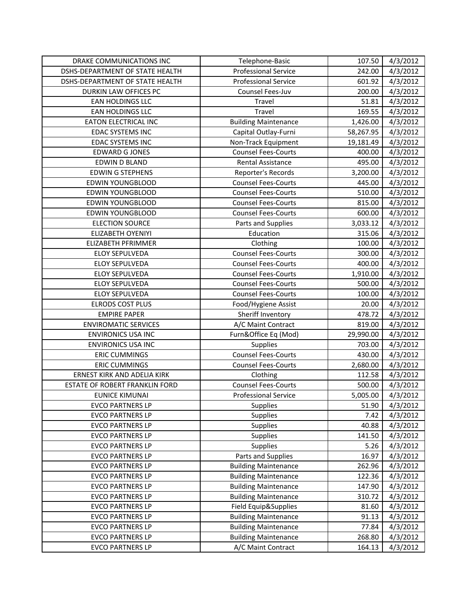| DRAKE COMMUNICATIONS INC               | Telephone-Basic             | 107.50    | 4/3/2012 |
|----------------------------------------|-----------------------------|-----------|----------|
| DSHS-DEPARTMENT OF STATE HEALTH        | <b>Professional Service</b> | 242.00    | 4/3/2012 |
| <b>DSHS-DEPARTMENT OF STATE HEALTH</b> | <b>Professional Service</b> | 601.92    | 4/3/2012 |
| DURKIN LAW OFFICES PC                  | Counsel Fees-Juv            | 200.00    | 4/3/2012 |
| EAN HOLDINGS LLC                       | Travel                      | 51.81     | 4/3/2012 |
| EAN HOLDINGS LLC                       | Travel                      | 169.55    | 4/3/2012 |
| EATON ELECTRICAL INC                   | <b>Building Maintenance</b> | 1,426.00  | 4/3/2012 |
| <b>EDAC SYSTEMS INC</b>                | Capital Outlay-Furni        | 58,267.95 | 4/3/2012 |
| <b>EDAC SYSTEMS INC</b>                | Non-Track Equipment         | 19,181.49 | 4/3/2012 |
| <b>EDWARD G JONES</b>                  | <b>Counsel Fees-Courts</b>  | 400.00    | 4/3/2012 |
| EDWIN D BLAND                          | <b>Rental Assistance</b>    | 495.00    | 4/3/2012 |
| <b>EDWIN G STEPHENS</b>                | Reporter's Records          | 3,200.00  | 4/3/2012 |
| EDWIN YOUNGBLOOD                       | <b>Counsel Fees-Courts</b>  | 445.00    | 4/3/2012 |
| <b>EDWIN YOUNGBLOOD</b>                | <b>Counsel Fees-Courts</b>  | 510.00    | 4/3/2012 |
| <b>EDWIN YOUNGBLOOD</b>                | <b>Counsel Fees-Courts</b>  | 815.00    | 4/3/2012 |
| <b>EDWIN YOUNGBLOOD</b>                | <b>Counsel Fees-Courts</b>  | 600.00    | 4/3/2012 |
| <b>ELECTION SOURCE</b>                 | Parts and Supplies          | 3,033.12  | 4/3/2012 |
| ELIZABETH OYENIYI                      | Education                   | 315.06    | 4/3/2012 |
| ELIZABETH PFRIMMER                     | Clothing                    | 100.00    | 4/3/2012 |
| <b>ELOY SEPULVEDA</b>                  | <b>Counsel Fees-Courts</b>  | 300.00    | 4/3/2012 |
| <b>ELOY SEPULVEDA</b>                  | <b>Counsel Fees-Courts</b>  | 400.00    | 4/3/2012 |
| <b>ELOY SEPULVEDA</b>                  | <b>Counsel Fees-Courts</b>  | 1,910.00  | 4/3/2012 |
| <b>ELOY SEPULVEDA</b>                  | <b>Counsel Fees-Courts</b>  | 500.00    | 4/3/2012 |
| <b>ELOY SEPULVEDA</b>                  | <b>Counsel Fees-Courts</b>  | 100.00    | 4/3/2012 |
| <b>ELRODS COST PLUS</b>                | Food/Hygiene Assist         | 20.00     | 4/3/2012 |
| <b>EMPIRE PAPER</b>                    | Sheriff Inventory           | 478.72    | 4/3/2012 |
| <b>ENVIROMATIC SERVICES</b>            | A/C Maint Contract          | 819.00    | 4/3/2012 |
| <b>ENVIRONICS USA INC</b>              | Furn&Office Eq (Mod)        | 29,990.00 | 4/3/2012 |
| <b>ENVIRONICS USA INC</b>              | Supplies                    | 703.00    | 4/3/2012 |
| <b>ERIC CUMMINGS</b>                   | <b>Counsel Fees-Courts</b>  | 430.00    | 4/3/2012 |
| <b>ERIC CUMMINGS</b>                   | <b>Counsel Fees-Courts</b>  | 2,680.00  | 4/3/2012 |
| ERNEST KIRK AND ADELIA KIRK            | Clothing                    | 112.58    | 4/3/2012 |
| ESTATE OF ROBERT FRANKLIN FORD         | <b>Counsel Fees-Courts</b>  | 500.00    | 4/3/2012 |
| <b>EUNICE KIMUNAI</b>                  | <b>Professional Service</b> | 5,005.00  | 4/3/2012 |
| <b>EVCO PARTNERS LP</b>                | <b>Supplies</b>             | 51.90     | 4/3/2012 |
| <b>EVCO PARTNERS LP</b>                | <b>Supplies</b>             | 7.42      | 4/3/2012 |
| <b>EVCO PARTNERS LP</b>                | Supplies                    | 40.88     | 4/3/2012 |
| <b>EVCO PARTNERS LP</b>                | Supplies                    | 141.50    | 4/3/2012 |
| <b>EVCO PARTNERS LP</b>                | Supplies                    | 5.26      | 4/3/2012 |
| <b>EVCO PARTNERS LP</b>                | Parts and Supplies          | 16.97     | 4/3/2012 |
| <b>EVCO PARTNERS LP</b>                | <b>Building Maintenance</b> | 262.96    | 4/3/2012 |
| <b>EVCO PARTNERS LP</b>                | <b>Building Maintenance</b> | 122.36    | 4/3/2012 |
| <b>EVCO PARTNERS LP</b>                | <b>Building Maintenance</b> | 147.90    | 4/3/2012 |
| <b>EVCO PARTNERS LP</b>                | <b>Building Maintenance</b> | 310.72    | 4/3/2012 |
| <b>EVCO PARTNERS LP</b>                | Field Equip&Supplies        | 81.60     | 4/3/2012 |
| <b>EVCO PARTNERS LP</b>                | <b>Building Maintenance</b> | 91.13     | 4/3/2012 |
| <b>EVCO PARTNERS LP</b>                | <b>Building Maintenance</b> | 77.84     | 4/3/2012 |
| <b>EVCO PARTNERS LP</b>                | <b>Building Maintenance</b> | 268.80    | 4/3/2012 |
| <b>EVCO PARTNERS LP</b>                | A/C Maint Contract          | 164.13    | 4/3/2012 |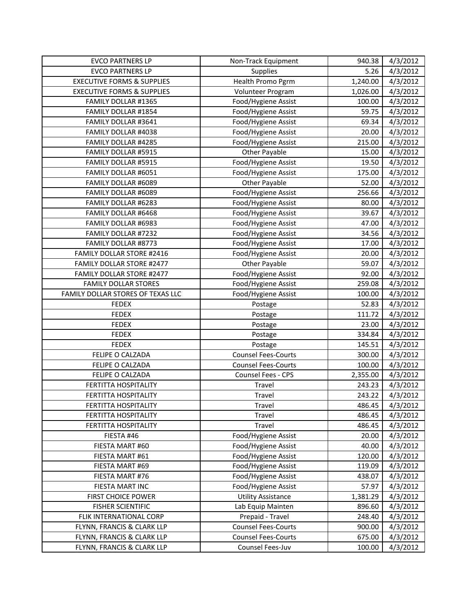| <b>EVCO PARTNERS LP</b>               | Non-Track Equipment        | 940.38   | 4/3/2012 |
|---------------------------------------|----------------------------|----------|----------|
| <b>EVCO PARTNERS LP</b>               | <b>Supplies</b>            | 5.26     | 4/3/2012 |
| <b>EXECUTIVE FORMS &amp; SUPPLIES</b> | Health Promo Pgrm          | 1,240.00 | 4/3/2012 |
| <b>EXECUTIVE FORMS &amp; SUPPLIES</b> | Volunteer Program          | 1,026.00 | 4/3/2012 |
| FAMILY DOLLAR #1365                   | Food/Hygiene Assist        | 100.00   | 4/3/2012 |
| FAMILY DOLLAR #1854                   | Food/Hygiene Assist        | 59.75    | 4/3/2012 |
| FAMILY DOLLAR #3641                   | Food/Hygiene Assist        | 69.34    | 4/3/2012 |
| FAMILY DOLLAR #4038                   | Food/Hygiene Assist        | 20.00    | 4/3/2012 |
| FAMILY DOLLAR #4285                   | Food/Hygiene Assist        | 215.00   | 4/3/2012 |
| FAMILY DOLLAR #5915                   | Other Payable              | 15.00    | 4/3/2012 |
| FAMILY DOLLAR #5915                   | Food/Hygiene Assist        | 19.50    | 4/3/2012 |
| FAMILY DOLLAR #6051                   | Food/Hygiene Assist        | 175.00   | 4/3/2012 |
| FAMILY DOLLAR #6089                   | Other Payable              | 52.00    | 4/3/2012 |
| FAMILY DOLLAR #6089                   | Food/Hygiene Assist        | 256.66   | 4/3/2012 |
| FAMILY DOLLAR #6283                   | Food/Hygiene Assist        | 80.00    | 4/3/2012 |
| FAMILY DOLLAR #6468                   | Food/Hygiene Assist        | 39.67    | 4/3/2012 |
| FAMILY DOLLAR #6983                   | Food/Hygiene Assist        | 47.00    | 4/3/2012 |
| FAMILY DOLLAR #7232                   | Food/Hygiene Assist        | 34.56    | 4/3/2012 |
| FAMILY DOLLAR #8773                   | Food/Hygiene Assist        | 17.00    | 4/3/2012 |
| <b>FAMILY DOLLAR STORE #2416</b>      | Food/Hygiene Assist        | 20.00    | 4/3/2012 |
| FAMILY DOLLAR STORE #2477             | Other Payable              | 59.07    | 4/3/2012 |
| <b>FAMILY DOLLAR STORE #2477</b>      | Food/Hygiene Assist        | 92.00    | 4/3/2012 |
| <b>FAMILY DOLLAR STORES</b>           | Food/Hygiene Assist        | 259.08   | 4/3/2012 |
| FAMILY DOLLAR STORES OF TEXAS LLC     | Food/Hygiene Assist        | 100.00   | 4/3/2012 |
| <b>FEDEX</b>                          | Postage                    | 52.83    | 4/3/2012 |
| <b>FEDEX</b>                          | Postage                    | 111.72   | 4/3/2012 |
| <b>FEDEX</b>                          | Postage                    | 23.00    | 4/3/2012 |
| <b>FEDEX</b>                          | Postage                    | 334.84   | 4/3/2012 |
| <b>FEDEX</b>                          | Postage                    | 145.51   | 4/3/2012 |
| FELIPE O CALZADA                      | <b>Counsel Fees-Courts</b> | 300.00   | 4/3/2012 |
| FELIPE O CALZADA                      | <b>Counsel Fees-Courts</b> | 100.00   | 4/3/2012 |
| FELIPE O CALZADA                      | Counsel Fees - CPS         | 2,355.00 | 4/3/2012 |
| <b>FERTITTA HOSPITALITY</b>           | Travel                     | 243.23   | 4/3/2012 |
| FERTITTA HOSPITALITY                  | Travel                     | 243.22   | 4/3/2012 |
| FERTITTA HOSPITALITY                  | Travel                     | 486.45   | 4/3/2012 |
| FERTITTA HOSPITALITY                  | Travel                     | 486.45   | 4/3/2012 |
| FERTITTA HOSPITALITY                  | <b>Travel</b>              | 486.45   | 4/3/2012 |
| FIESTA #46                            | Food/Hygiene Assist        | 20.00    | 4/3/2012 |
| FIESTA MART #60                       | Food/Hygiene Assist        | 40.00    | 4/3/2012 |
| FIESTA MART #61                       | Food/Hygiene Assist        | 120.00   | 4/3/2012 |
| FIESTA MART #69                       | Food/Hygiene Assist        | 119.09   | 4/3/2012 |
| FIESTA MART #76                       | Food/Hygiene Assist        | 438.07   | 4/3/2012 |
| FIESTA MART INC                       | Food/Hygiene Assist        | 57.97    | 4/3/2012 |
| <b>FIRST CHOICE POWER</b>             | <b>Utility Assistance</b>  | 1,381.29 | 4/3/2012 |
| <b>FISHER SCIENTIFIC</b>              | Lab Equip Mainten          | 896.60   | 4/3/2012 |
| FLIK INTERNATIONAL CORP               | Prepaid - Travel           | 248.40   | 4/3/2012 |
| FLYNN, FRANCIS & CLARK LLP            | <b>Counsel Fees-Courts</b> | 900.00   | 4/3/2012 |
| FLYNN, FRANCIS & CLARK LLP            | <b>Counsel Fees-Courts</b> | 675.00   | 4/3/2012 |
| FLYNN, FRANCIS & CLARK LLP            | Counsel Fees-Juv           | 100.00   | 4/3/2012 |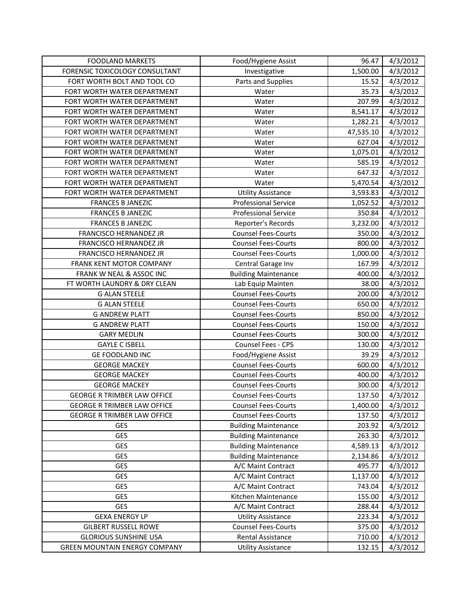| <b>FOODLAND MARKETS</b>              | Food/Hygiene Assist         | 96.47     | 4/3/2012 |
|--------------------------------------|-----------------------------|-----------|----------|
| FORENSIC TOXICOLOGY CONSULTANT       | Investigative               | 1,500.00  | 4/3/2012 |
| FORT WORTH BOLT AND TOOL CO          | Parts and Supplies          | 15.52     | 4/3/2012 |
| FORT WORTH WATER DEPARTMENT          | Water                       | 35.73     | 4/3/2012 |
| FORT WORTH WATER DEPARTMENT          | Water                       | 207.99    | 4/3/2012 |
| FORT WORTH WATER DEPARTMENT          | Water                       | 8,541.17  | 4/3/2012 |
| FORT WORTH WATER DEPARTMENT          | Water                       | 1,282.21  | 4/3/2012 |
| FORT WORTH WATER DEPARTMENT          | Water                       | 47,535.10 | 4/3/2012 |
| FORT WORTH WATER DEPARTMENT          | Water                       | 627.04    | 4/3/2012 |
| FORT WORTH WATER DEPARTMENT          | Water                       | 1,075.01  | 4/3/2012 |
| FORT WORTH WATER DEPARTMENT          | Water                       | 585.19    | 4/3/2012 |
| FORT WORTH WATER DEPARTMENT          | Water                       | 647.32    | 4/3/2012 |
| FORT WORTH WATER DEPARTMENT          | Water                       | 5,470.54  | 4/3/2012 |
| FORT WORTH WATER DEPARTMENT          | <b>Utility Assistance</b>   | 3,593.83  | 4/3/2012 |
| <b>FRANCES B JANEZIC</b>             | <b>Professional Service</b> | 1,052.52  | 4/3/2012 |
| <b>FRANCES B JANEZIC</b>             | <b>Professional Service</b> | 350.84    | 4/3/2012 |
| <b>FRANCES B JANEZIC</b>             | Reporter's Records          | 3,232.00  | 4/3/2012 |
| FRANCISCO HERNANDEZ JR               | <b>Counsel Fees-Courts</b>  | 350.00    | 4/3/2012 |
| FRANCISCO HERNANDEZ JR               | <b>Counsel Fees-Courts</b>  | 800.00    | 4/3/2012 |
| FRANCISCO HERNANDEZ JR               | <b>Counsel Fees-Courts</b>  | 1,000.00  | 4/3/2012 |
| FRANK KENT MOTOR COMPANY             | Central Garage Inv          | 167.99    | 4/3/2012 |
| FRANK W NEAL & ASSOC INC             | <b>Building Maintenance</b> | 400.00    | 4/3/2012 |
| FT WORTH LAUNDRY & DRY CLEAN         | Lab Equip Mainten           | 38.00     | 4/3/2012 |
| <b>G ALAN STEELE</b>                 | <b>Counsel Fees-Courts</b>  | 200.00    | 4/3/2012 |
| <b>G ALAN STEELE</b>                 | <b>Counsel Fees-Courts</b>  | 650.00    | 4/3/2012 |
| <b>G ANDREW PLATT</b>                | <b>Counsel Fees-Courts</b>  | 850.00    | 4/3/2012 |
| <b>G ANDREW PLATT</b>                | <b>Counsel Fees-Courts</b>  | 150.00    | 4/3/2012 |
| <b>GARY MEDLIN</b>                   | <b>Counsel Fees-Courts</b>  | 300.00    | 4/3/2012 |
| <b>GAYLE C ISBELL</b>                | Counsel Fees - CPS          | 130.00    | 4/3/2012 |
| GE FOODLAND INC                      | Food/Hygiene Assist         | 39.29     | 4/3/2012 |
| <b>GEORGE MACKEY</b>                 | <b>Counsel Fees-Courts</b>  | 600.00    | 4/3/2012 |
| <b>GEORGE MACKEY</b>                 | <b>Counsel Fees-Courts</b>  | 400.00    | 4/3/2012 |
| <b>GEORGE MACKEY</b>                 | <b>Counsel Fees-Courts</b>  | 300.00    | 4/3/2012 |
| <b>GEORGE R TRIMBER LAW OFFICE</b>   | <b>Counsel Fees-Courts</b>  | 137.50    | 4/3/2012 |
| <b>GEORGE R TRIMBER LAW OFFICE</b>   | <b>Counsel Fees-Courts</b>  | 1,400.00  | 4/3/2012 |
| <b>GEORGE R TRIMBER LAW OFFICE</b>   | <b>Counsel Fees-Courts</b>  | 137.50    | 4/3/2012 |
| GES                                  | <b>Building Maintenance</b> | 203.92    | 4/3/2012 |
| GES                                  | <b>Building Maintenance</b> | 263.30    | 4/3/2012 |
| GES                                  | <b>Building Maintenance</b> | 4,589.13  | 4/3/2012 |
| <b>GES</b>                           | <b>Building Maintenance</b> | 2,134.86  | 4/3/2012 |
| GES                                  | A/C Maint Contract          | 495.77    | 4/3/2012 |
| <b>GES</b>                           | A/C Maint Contract          | 1,137.00  | 4/3/2012 |
| <b>GES</b>                           | A/C Maint Contract          | 743.04    | 4/3/2012 |
| GES                                  | Kitchen Maintenance         | 155.00    | 4/3/2012 |
| GES                                  | A/C Maint Contract          | 288.44    | 4/3/2012 |
| <b>GEXA ENERGY LP</b>                | <b>Utility Assistance</b>   | 223.34    | 4/3/2012 |
| <b>GILBERT RUSSELL ROWE</b>          | <b>Counsel Fees-Courts</b>  | 375.00    | 4/3/2012 |
| <b>GLORIOUS SUNSHINE USA</b>         | Rental Assistance           | 710.00    | 4/3/2012 |
| <b>GREEN MOUNTAIN ENERGY COMPANY</b> | <b>Utility Assistance</b>   | 132.15    | 4/3/2012 |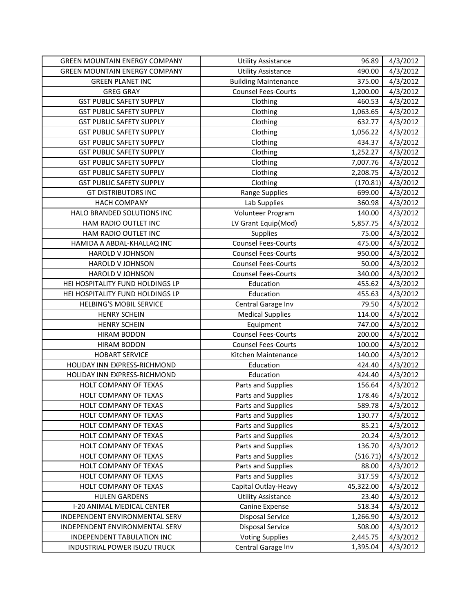| <b>GREEN MOUNTAIN ENERGY COMPANY</b> | <b>Utility Assistance</b>   | 96.89     | 4/3/2012 |
|--------------------------------------|-----------------------------|-----------|----------|
| <b>GREEN MOUNTAIN ENERGY COMPANY</b> | <b>Utility Assistance</b>   | 490.00    | 4/3/2012 |
| <b>GREEN PLANET INC</b>              | <b>Building Maintenance</b> | 375.00    | 4/3/2012 |
| <b>GREG GRAY</b>                     | <b>Counsel Fees-Courts</b>  | 1,200.00  | 4/3/2012 |
| <b>GST PUBLIC SAFETY SUPPLY</b>      | Clothing                    | 460.53    | 4/3/2012 |
| <b>GST PUBLIC SAFETY SUPPLY</b>      | Clothing                    | 1,063.65  | 4/3/2012 |
| <b>GST PUBLIC SAFETY SUPPLY</b>      | Clothing                    | 632.77    | 4/3/2012 |
| <b>GST PUBLIC SAFETY SUPPLY</b>      | Clothing                    | 1,056.22  | 4/3/2012 |
| <b>GST PUBLIC SAFETY SUPPLY</b>      | Clothing                    | 434.37    | 4/3/2012 |
| <b>GST PUBLIC SAFETY SUPPLY</b>      | Clothing                    | 1,252.27  | 4/3/2012 |
| <b>GST PUBLIC SAFETY SUPPLY</b>      | Clothing                    | 7,007.76  | 4/3/2012 |
| <b>GST PUBLIC SAFETY SUPPLY</b>      | Clothing                    | 2,208.75  | 4/3/2012 |
| <b>GST PUBLIC SAFETY SUPPLY</b>      | Clothing                    | (170.81)  | 4/3/2012 |
| <b>GT DISTRIBUTORS INC</b>           | <b>Range Supplies</b>       | 699.00    | 4/3/2012 |
| <b>HACH COMPANY</b>                  | Lab Supplies                | 360.98    | 4/3/2012 |
| HALO BRANDED SOLUTIONS INC           | Volunteer Program           | 140.00    | 4/3/2012 |
| HAM RADIO OUTLET INC                 | LV Grant Equip(Mod)         | 5,857.75  | 4/3/2012 |
| HAM RADIO OUTLET INC                 | Supplies                    | 75.00     | 4/3/2012 |
| HAMIDA A ABDAL-KHALLAQ INC           | <b>Counsel Fees-Courts</b>  | 475.00    | 4/3/2012 |
| HAROLD V JOHNSON                     | <b>Counsel Fees-Courts</b>  | 950.00    | 4/3/2012 |
| <b>HAROLD V JOHNSON</b>              | <b>Counsel Fees-Courts</b>  | 50.00     | 4/3/2012 |
| <b>HAROLD V JOHNSON</b>              | <b>Counsel Fees-Courts</b>  | 340.00    | 4/3/2012 |
| HEI HOSPITALITY FUND HOLDINGS LP     | Education                   | 455.62    | 4/3/2012 |
| HEI HOSPITALITY FUND HOLDINGS LP     | Education                   | 455.63    | 4/3/2012 |
| <b>HELBING'S MOBIL SERVICE</b>       | Central Garage Inv          | 79.50     | 4/3/2012 |
| <b>HENRY SCHEIN</b>                  | <b>Medical Supplies</b>     | 114.00    | 4/3/2012 |
| <b>HENRY SCHEIN</b>                  | Equipment                   | 747.00    | 4/3/2012 |
| <b>HIRAM BODON</b>                   | <b>Counsel Fees-Courts</b>  | 200.00    | 4/3/2012 |
| <b>HIRAM BODON</b>                   | <b>Counsel Fees-Courts</b>  | 100.00    | 4/3/2012 |
| <b>HOBART SERVICE</b>                | Kitchen Maintenance         | 140.00    | 4/3/2012 |
| HOLIDAY INN EXPRESS-RICHMOND         | Education                   | 424.40    | 4/3/2012 |
| HOLIDAY INN EXPRESS-RICHMOND         | Education                   | 424.40    | 4/3/2012 |
| HOLT COMPANY OF TEXAS                | Parts and Supplies          | 156.64    | 4/3/2012 |
| HOLT COMPANY OF TEXAS                | Parts and Supplies          | 178.46    | 4/3/2012 |
| HOLT COMPANY OF TEXAS                | Parts and Supplies          | 589.78    | 4/3/2012 |
| HOLT COMPANY OF TEXAS                | Parts and Supplies          | 130.77    | 4/3/2012 |
| HOLT COMPANY OF TEXAS                | Parts and Supplies          | 85.21     | 4/3/2012 |
| HOLT COMPANY OF TEXAS                | Parts and Supplies          | 20.24     | 4/3/2012 |
| HOLT COMPANY OF TEXAS                | Parts and Supplies          | 136.70    | 4/3/2012 |
| HOLT COMPANY OF TEXAS                | Parts and Supplies          | (516.71)  | 4/3/2012 |
| HOLT COMPANY OF TEXAS                | Parts and Supplies          | 88.00     | 4/3/2012 |
| HOLT COMPANY OF TEXAS                | Parts and Supplies          | 317.59    | 4/3/2012 |
| HOLT COMPANY OF TEXAS                | Capital Outlay-Heavy        | 45,322.00 | 4/3/2012 |
| <b>HULEN GARDENS</b>                 | <b>Utility Assistance</b>   | 23.40     | 4/3/2012 |
| I-20 ANIMAL MEDICAL CENTER           | Canine Expense              | 518.34    | 4/3/2012 |
| INDEPENDENT ENVIRONMENTAL SERV       | <b>Disposal Service</b>     | 1,266.90  | 4/3/2012 |
| INDEPENDENT ENVIRONMENTAL SERV       | <b>Disposal Service</b>     | 508.00    | 4/3/2012 |
| INDEPENDENT TABULATION INC           | <b>Voting Supplies</b>      | 2,445.75  | 4/3/2012 |
| INDUSTRIAL POWER ISUZU TRUCK         | Central Garage Inv          | 1,395.04  | 4/3/2012 |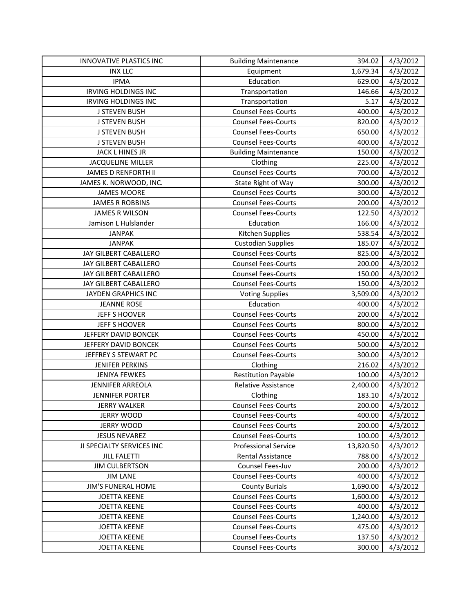| INNOVATIVE PLASTICS INC    | <b>Building Maintenance</b> | 394.02    | 4/3/2012 |
|----------------------------|-----------------------------|-----------|----------|
| <b>INX LLC</b>             | Equipment                   | 1,679.34  | 4/3/2012 |
| <b>IPMA</b>                | Education                   | 629.00    | 4/3/2012 |
| <b>IRVING HOLDINGS INC</b> | Transportation              | 146.66    | 4/3/2012 |
| <b>IRVING HOLDINGS INC</b> | Transportation              | 5.17      | 4/3/2012 |
| <b>J STEVEN BUSH</b>       | <b>Counsel Fees-Courts</b>  | 400.00    | 4/3/2012 |
| <b>J STEVEN BUSH</b>       | <b>Counsel Fees-Courts</b>  | 820.00    | 4/3/2012 |
| <b>J STEVEN BUSH</b>       | <b>Counsel Fees-Courts</b>  | 650.00    | 4/3/2012 |
| <b>J STEVEN BUSH</b>       | <b>Counsel Fees-Courts</b>  | 400.00    | 4/3/2012 |
| JACK L HINES JR            | <b>Building Maintenance</b> | 150.00    | 4/3/2012 |
| <b>JACQUELINE MILLER</b>   | Clothing                    | 225.00    | 4/3/2012 |
| JAMES D RENFORTH II        | <b>Counsel Fees-Courts</b>  | 700.00    | 4/3/2012 |
| JAMES K. NORWOOD, INC.     | State Right of Way          | 300.00    | 4/3/2012 |
| <b>JAMES MOORE</b>         | <b>Counsel Fees-Courts</b>  | 300.00    | 4/3/2012 |
| <b>JAMES R ROBBINS</b>     | <b>Counsel Fees-Courts</b>  | 200.00    | 4/3/2012 |
| <b>JAMES R WILSON</b>      | <b>Counsel Fees-Courts</b>  | 122.50    | 4/3/2012 |
| Jamison L Hulslander       | Education                   | 166.00    | 4/3/2012 |
| <b>JANPAK</b>              | Kitchen Supplies            | 538.54    | 4/3/2012 |
| <b>JANPAK</b>              | <b>Custodian Supplies</b>   | 185.07    | 4/3/2012 |
| JAY GILBERT CABALLERO      | <b>Counsel Fees-Courts</b>  | 825.00    | 4/3/2012 |
| JAY GILBERT CABALLERO      | <b>Counsel Fees-Courts</b>  | 200.00    | 4/3/2012 |
| JAY GILBERT CABALLERO      | <b>Counsel Fees-Courts</b>  | 150.00    | 4/3/2012 |
| JAY GILBERT CABALLERO      | <b>Counsel Fees-Courts</b>  | 150.00    | 4/3/2012 |
| JAYDEN GRAPHICS INC        | <b>Voting Supplies</b>      | 3,509.00  | 4/3/2012 |
| <b>JEANNE ROSE</b>         | Education                   | 400.00    | 4/3/2012 |
| JEFF S HOOVER              | <b>Counsel Fees-Courts</b>  | 200.00    | 4/3/2012 |
| JEFF S HOOVER              | <b>Counsel Fees-Courts</b>  | 800.00    | 4/3/2012 |
| JEFFERY DAVID BONCEK       | <b>Counsel Fees-Courts</b>  | 450.00    | 4/3/2012 |
| JEFFERY DAVID BONCEK       | <b>Counsel Fees-Courts</b>  | 500.00    | 4/3/2012 |
| JEFFREY S STEWART PC       | <b>Counsel Fees-Courts</b>  | 300.00    | 4/3/2012 |
| <b>JENIFER PERKINS</b>     | Clothing                    | 216.02    | 4/3/2012 |
| <b>JENIYA FEWKES</b>       | <b>Restitution Payable</b>  | 100.00    | 4/3/2012 |
| JENNIFER ARREOLA           | <b>Relative Assistance</b>  | 2,400.00  | 4/3/2012 |
| <b>JENNIFER PORTER</b>     | Clothing                    | 183.10    | 4/3/2012 |
| JERRY WALKER               | <b>Counsel Fees-Courts</b>  | 200.00    | 4/3/2012 |
| <b>JERRY WOOD</b>          | <b>Counsel Fees-Courts</b>  | 400.00    | 4/3/2012 |
| <b>JERRY WOOD</b>          | <b>Counsel Fees-Courts</b>  | 200.00    | 4/3/2012 |
| <b>JESUS NEVAREZ</b>       | <b>Counsel Fees-Courts</b>  | 100.00    | 4/3/2012 |
| JI SPECIALTY SERVICES INC  | <b>Professional Service</b> | 13,820.50 | 4/3/2012 |
| <b>JILL FALETTI</b>        | <b>Rental Assistance</b>    | 788.00    | 4/3/2012 |
| <b>JIM CULBERTSON</b>      | Counsel Fees-Juv            | 200.00    | 4/3/2012 |
| <b>JIM LANE</b>            | <b>Counsel Fees-Courts</b>  | 400.00    | 4/3/2012 |
| JIM'S FUNERAL HOME         | <b>County Burials</b>       | 1,690.00  | 4/3/2012 |
| <b>JOETTA KEENE</b>        | <b>Counsel Fees-Courts</b>  | 1,600.00  | 4/3/2012 |
| <b>JOETTA KEENE</b>        | <b>Counsel Fees-Courts</b>  | 400.00    | 4/3/2012 |
| <b>JOETTA KEENE</b>        | <b>Counsel Fees-Courts</b>  | 1,240.00  | 4/3/2012 |
| <b>JOETTA KEENE</b>        | <b>Counsel Fees-Courts</b>  | 475.00    | 4/3/2012 |
| <b>JOETTA KEENE</b>        | <b>Counsel Fees-Courts</b>  | 137.50    | 4/3/2012 |
| <b>JOETTA KEENE</b>        | <b>Counsel Fees-Courts</b>  | 300.00    | 4/3/2012 |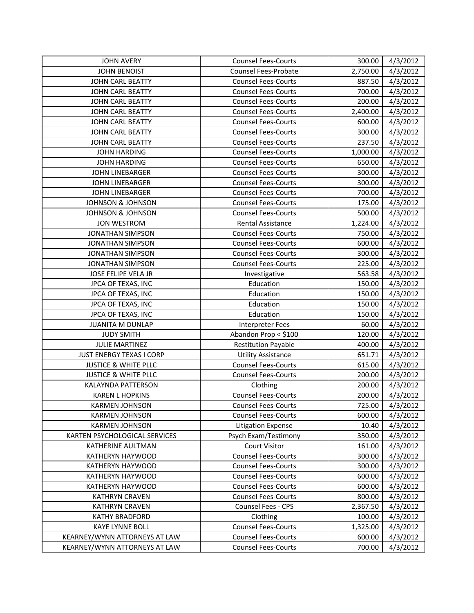| <b>JOHN AVERY</b>               | <b>Counsel Fees-Courts</b> | 300.00   | 4/3/2012 |
|---------------------------------|----------------------------|----------|----------|
| <b>JOHN BENOIST</b>             | Counsel Fees-Probate       | 2,750.00 | 4/3/2012 |
| JOHN CARL BEATTY                | <b>Counsel Fees-Courts</b> | 887.50   | 4/3/2012 |
| JOHN CARL BEATTY                | <b>Counsel Fees-Courts</b> | 700.00   | 4/3/2012 |
| JOHN CARL BEATTY                | <b>Counsel Fees-Courts</b> | 200.00   | 4/3/2012 |
| JOHN CARL BEATTY                | <b>Counsel Fees-Courts</b> | 2,400.00 | 4/3/2012 |
| JOHN CARL BEATTY                | <b>Counsel Fees-Courts</b> | 600.00   | 4/3/2012 |
| JOHN CARL BEATTY                | <b>Counsel Fees-Courts</b> | 300.00   | 4/3/2012 |
| JOHN CARL BEATTY                | <b>Counsel Fees-Courts</b> | 237.50   | 4/3/2012 |
| <b>JOHN HARDING</b>             | <b>Counsel Fees-Courts</b> | 1,000.00 | 4/3/2012 |
| <b>JOHN HARDING</b>             | <b>Counsel Fees-Courts</b> | 650.00   | 4/3/2012 |
| <b>JOHN LINEBARGER</b>          | <b>Counsel Fees-Courts</b> | 300.00   | 4/3/2012 |
| <b>JOHN LINEBARGER</b>          | <b>Counsel Fees-Courts</b> | 300.00   | 4/3/2012 |
| JOHN LINEBARGER                 | <b>Counsel Fees-Courts</b> | 700.00   | 4/3/2012 |
| <b>JOHNSON &amp; JOHNSON</b>    | <b>Counsel Fees-Courts</b> | 175.00   | 4/3/2012 |
| <b>JOHNSON &amp; JOHNSON</b>    | <b>Counsel Fees-Courts</b> | 500.00   | 4/3/2012 |
| <b>JON WESTROM</b>              | Rental Assistance          | 1,224.00 | 4/3/2012 |
| <b>JONATHAN SIMPSON</b>         | <b>Counsel Fees-Courts</b> | 750.00   | 4/3/2012 |
| <b>JONATHAN SIMPSON</b>         | <b>Counsel Fees-Courts</b> | 600.00   | 4/3/2012 |
| <b>JONATHAN SIMPSON</b>         | <b>Counsel Fees-Courts</b> | 300.00   | 4/3/2012 |
| <b>JONATHAN SIMPSON</b>         | <b>Counsel Fees-Courts</b> | 225.00   | 4/3/2012 |
| JOSE FELIPE VELA JR             | Investigative              | 563.58   | 4/3/2012 |
| JPCA OF TEXAS, INC              | Education                  | 150.00   | 4/3/2012 |
| JPCA OF TEXAS, INC              | Education                  | 150.00   | 4/3/2012 |
| JPCA OF TEXAS, INC              | Education                  | 150.00   | 4/3/2012 |
| JPCA OF TEXAS, INC              | Education                  | 150.00   | 4/3/2012 |
| <b>JUANITA M DUNLAP</b>         | <b>Interpreter Fees</b>    | 60.00    | 4/3/2012 |
| <b>JUDY SMITH</b>               | Abandon Prop < \$100       | 120.00   | 4/3/2012 |
| <b>JULIE MARTINEZ</b>           | <b>Restitution Payable</b> | 400.00   | 4/3/2012 |
| <b>JUST ENERGY TEXAS I CORP</b> | <b>Utility Assistance</b>  | 651.71   | 4/3/2012 |
| <b>JUSTICE &amp; WHITE PLLC</b> | <b>Counsel Fees-Courts</b> | 615.00   | 4/3/2012 |
| <b>JUSTICE &amp; WHITE PLLC</b> | <b>Counsel Fees-Courts</b> | 200.00   | 4/3/2012 |
| KALAYNDA PATTERSON              | Clothing                   | 200.00   | 4/3/2012 |
| <b>KAREN L HOPKINS</b>          | <b>Counsel Fees-Courts</b> | 200.00   | 4/3/2012 |
| <b>KARMEN JOHNSON</b>           | <b>Counsel Fees-Courts</b> | 725.00   | 4/3/2012 |
| <b>KARMEN JOHNSON</b>           | <b>Counsel Fees-Courts</b> | 600.00   | 4/3/2012 |
| <b>KARMEN JOHNSON</b>           | <b>Litigation Expense</b>  | 10.40    | 4/3/2012 |
| KARTEN PSYCHOLOGICAL SERVICES   | Psych Exam/Testimony       | 350.00   | 4/3/2012 |
| KATHERINE AULTMAN               | <b>Court Visitor</b>       | 161.00   | 4/3/2012 |
| KATHERYN HAYWOOD                | <b>Counsel Fees-Courts</b> | 300.00   | 4/3/2012 |
| KATHERYN HAYWOOD                | <b>Counsel Fees-Courts</b> | 300.00   | 4/3/2012 |
| KATHERYN HAYWOOD                | <b>Counsel Fees-Courts</b> | 600.00   | 4/3/2012 |
| KATHERYN HAYWOOD                | <b>Counsel Fees-Courts</b> | 600.00   | 4/3/2012 |
| <b>KATHRYN CRAVEN</b>           | <b>Counsel Fees-Courts</b> | 800.00   | 4/3/2012 |
| <b>KATHRYN CRAVEN</b>           | <b>Counsel Fees - CPS</b>  | 2,367.50 | 4/3/2012 |
| <b>KATHY BRADFORD</b>           | Clothing                   | 100.00   | 4/3/2012 |
| <b>KAYE LYNNE BOLL</b>          | <b>Counsel Fees-Courts</b> | 1,325.00 | 4/3/2012 |
| KEARNEY/WYNN ATTORNEYS AT LAW   | <b>Counsel Fees-Courts</b> | 600.00   | 4/3/2012 |
| KEARNEY/WYNN ATTORNEYS AT LAW   | <b>Counsel Fees-Courts</b> | 700.00   | 4/3/2012 |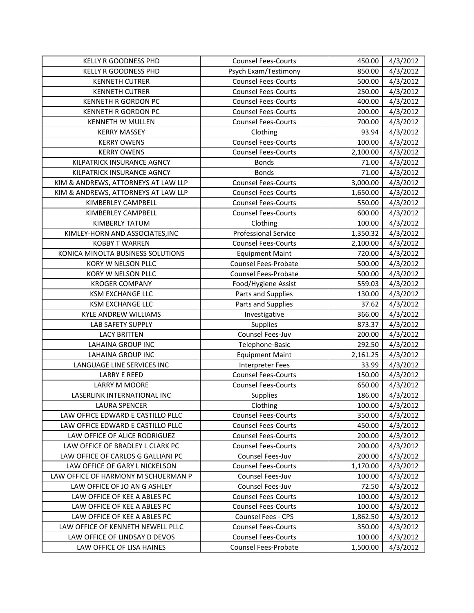| <b>KELLY R GOODNESS PHD</b>                                | <b>Counsel Fees-Courts</b>                         | 450.00             | 4/3/2012             |
|------------------------------------------------------------|----------------------------------------------------|--------------------|----------------------|
| <b>KELLY R GOODNESS PHD</b>                                | Psych Exam/Testimony                               | 850.00             | 4/3/2012             |
| <b>KENNETH CUTRER</b>                                      | <b>Counsel Fees-Courts</b>                         | 500.00             | 4/3/2012             |
| <b>KENNETH CUTRER</b>                                      | <b>Counsel Fees-Courts</b>                         | 250.00             | 4/3/2012             |
| <b>KENNETH R GORDON PC</b>                                 | <b>Counsel Fees-Courts</b>                         | 400.00             | 4/3/2012             |
| <b>KENNETH R GORDON PC</b>                                 | <b>Counsel Fees-Courts</b>                         | 200.00             | 4/3/2012             |
| KENNETH W MULLEN                                           | <b>Counsel Fees-Courts</b>                         | 700.00             | 4/3/2012             |
| <b>KERRY MASSEY</b>                                        | Clothing                                           | 93.94              | 4/3/2012             |
| <b>KERRY OWENS</b>                                         | <b>Counsel Fees-Courts</b>                         | 100.00             | 4/3/2012             |
| <b>KERRY OWENS</b>                                         | <b>Counsel Fees-Courts</b>                         | 2,100.00           | 4/3/2012             |
| KILPATRICK INSURANCE AGNCY                                 | <b>Bonds</b>                                       | 71.00              | 4/3/2012             |
| KILPATRICK INSURANCE AGNCY                                 | <b>Bonds</b>                                       | 71.00              | 4/3/2012             |
| KIM & ANDREWS, ATTORNEYS AT LAW LLP                        | <b>Counsel Fees-Courts</b>                         | 3,000.00           | 4/3/2012             |
| KIM & ANDREWS, ATTORNEYS AT LAW LLP                        | <b>Counsel Fees-Courts</b>                         | 1,650.00           | 4/3/2012             |
| KIMBERLEY CAMPBELL                                         | <b>Counsel Fees-Courts</b>                         | 550.00             | 4/3/2012             |
| KIMBERLEY CAMPBELL                                         | <b>Counsel Fees-Courts</b>                         | 600.00             | 4/3/2012             |
| <b>KIMBERLY TATUM</b>                                      | Clothing                                           | 100.00             | 4/3/2012             |
| KIMLEY-HORN AND ASSOCIATES, INC                            | <b>Professional Service</b>                        | 1,350.32           | 4/3/2012             |
| <b>KOBBY T WARREN</b>                                      | <b>Counsel Fees-Courts</b>                         | 2,100.00           | 4/3/2012             |
| KONICA MINOLTA BUSINESS SOLUTIONS                          | <b>Equipment Maint</b>                             | 720.00             | 4/3/2012             |
| KORY W NELSON PLLC                                         | Counsel Fees-Probate                               | 500.00             | 4/3/2012             |
| KORY W NELSON PLLC                                         | Counsel Fees-Probate                               | 500.00             | 4/3/2012             |
| <b>KROGER COMPANY</b>                                      | Food/Hygiene Assist                                | 559.03             | 4/3/2012             |
| <b>KSM EXCHANGE LLC</b>                                    | Parts and Supplies                                 | 130.00             | 4/3/2012             |
|                                                            |                                                    | 37.62              |                      |
| <b>KSM EXCHANGE LLC</b>                                    | Parts and Supplies                                 |                    | 4/3/2012             |
| <b>KYLE ANDREW WILLIAMS</b>                                | Investigative                                      | 366.00             | 4/3/2012             |
| LAB SAFETY SUPPLY                                          | Supplies                                           | 873.37             | 4/3/2012             |
| <b>LACY BRITTEN</b>                                        | Counsel Fees-Juv                                   | 200.00             | 4/3/2012             |
| <b>LAHAINA GROUP INC</b>                                   | Telephone-Basic                                    | 292.50             | 4/3/2012             |
| <b>LAHAINA GROUP INC</b>                                   | <b>Equipment Maint</b>                             | 2,161.25           | 4/3/2012             |
| LANGUAGE LINE SERVICES INC                                 | <b>Interpreter Fees</b>                            | 33.99              | 4/3/2012             |
| <b>LARRY E REED</b>                                        | <b>Counsel Fees-Courts</b>                         | 150.00             | 4/3/2012             |
| <b>LARRY M MOORE</b>                                       | <b>Counsel Fees-Courts</b>                         | 650.00             | 4/3/2012             |
| LASERLINK INTERNATIONAL INC                                | Supplies                                           | 186.00             | 4/3/2012             |
| LAURA SPENCER                                              | Clothing                                           | 100.00             | 4/3/2012             |
| LAW OFFICE EDWARD E CASTILLO PLLC                          | <b>Counsel Fees-Courts</b>                         | 350.00             | 4/3/2012             |
| LAW OFFICE EDWARD E CASTILLO PLLC                          | <b>Counsel Fees-Courts</b>                         | 450.00             | 4/3/2012             |
| LAW OFFICE OF ALICE RODRIGUEZ                              | <b>Counsel Fees-Courts</b>                         | 200.00             | 4/3/2012             |
| LAW OFFICE OF BRADLEY L CLARK PC                           | <b>Counsel Fees-Courts</b>                         | 200.00             | 4/3/2012             |
| LAW OFFICE OF CARLOS G GALLIANI PC                         | Counsel Fees-Juv                                   | 200.00             | 4/3/2012             |
| LAW OFFICE OF GARY L NICKELSON                             | <b>Counsel Fees-Courts</b>                         | 1,170.00           | 4/3/2012             |
| LAW OFFICE OF HARMONY M SCHUERMAN P                        | Counsel Fees-Juv                                   | 100.00             | 4/3/2012             |
| LAW OFFICE OF JO AN G ASHLEY                               | Counsel Fees-Juv                                   | 72.50              | 4/3/2012             |
| LAW OFFICE OF KEE A ABLES PC                               | <b>Counsel Fees-Courts</b>                         | 100.00             | 4/3/2012             |
| LAW OFFICE OF KEE A ABLES PC                               | <b>Counsel Fees-Courts</b>                         | 100.00             | 4/3/2012             |
| LAW OFFICE OF KEE A ABLES PC                               | <b>Counsel Fees - CPS</b>                          | 1,862.50           | 4/3/2012             |
| LAW OFFICE OF KENNETH NEWELL PLLC                          | <b>Counsel Fees-Courts</b>                         | 350.00             | 4/3/2012             |
| LAW OFFICE OF LINDSAY D DEVOS<br>LAW OFFICE OF LISA HAINES | <b>Counsel Fees-Courts</b><br>Counsel Fees-Probate | 100.00<br>1,500.00 | 4/3/2012<br>4/3/2012 |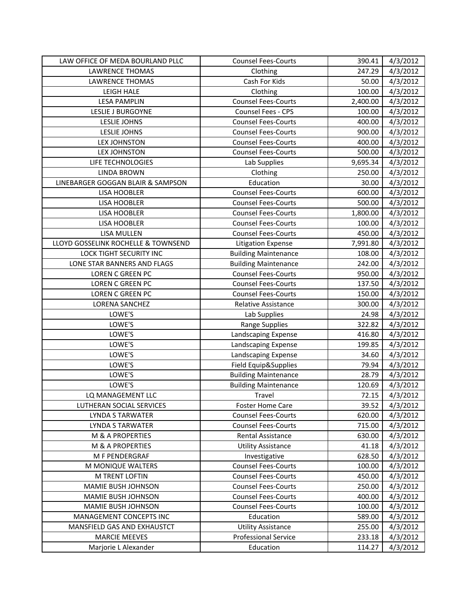| LAW OFFICE OF MEDA BOURLAND PLLC    | <b>Counsel Fees-Courts</b>  | 390.41   | 4/3/2012 |
|-------------------------------------|-----------------------------|----------|----------|
| <b>LAWRENCE THOMAS</b>              | Clothing                    | 247.29   | 4/3/2012 |
| <b>LAWRENCE THOMAS</b>              | Cash For Kids               | 50.00    | 4/3/2012 |
| <b>LEIGH HALE</b>                   | Clothing                    | 100.00   | 4/3/2012 |
| <b>LESA PAMPLIN</b>                 | <b>Counsel Fees-Courts</b>  | 2,400.00 | 4/3/2012 |
| LESLIE J BURGOYNE                   | Counsel Fees - CPS          | 100.00   | 4/3/2012 |
| LESLIE JOHNS                        | <b>Counsel Fees-Courts</b>  | 400.00   | 4/3/2012 |
| LESLIE JOHNS                        | <b>Counsel Fees-Courts</b>  | 900.00   | 4/3/2012 |
| <b>LEX JOHNSTON</b>                 | <b>Counsel Fees-Courts</b>  | 400.00   | 4/3/2012 |
| <b>LEX JOHNSTON</b>                 | <b>Counsel Fees-Courts</b>  | 500.00   | 4/3/2012 |
| LIFE TECHNOLOGIES                   | Lab Supplies                | 9,695.34 | 4/3/2012 |
| <b>LINDA BROWN</b>                  | Clothing                    | 250.00   | 4/3/2012 |
| LINEBARGER GOGGAN BLAIR & SAMPSON   | Education                   | 30.00    | 4/3/2012 |
| LISA HOOBLER                        | <b>Counsel Fees-Courts</b>  | 600.00   | 4/3/2012 |
| LISA HOOBLER                        | <b>Counsel Fees-Courts</b>  | 500.00   | 4/3/2012 |
| LISA HOOBLER                        | <b>Counsel Fees-Courts</b>  | 1,800.00 | 4/3/2012 |
| <b>LISA HOOBLER</b>                 | <b>Counsel Fees-Courts</b>  | 100.00   | 4/3/2012 |
| LISA MULLEN                         | <b>Counsel Fees-Courts</b>  | 450.00   | 4/3/2012 |
| LLOYD GOSSELINK ROCHELLE & TOWNSEND | <b>Litigation Expense</b>   | 7,991.80 | 4/3/2012 |
| LOCK TIGHT SECURITY INC             | <b>Building Maintenance</b> | 108.00   | 4/3/2012 |
| LONE STAR BANNERS AND FLAGS         | <b>Building Maintenance</b> | 242.00   | 4/3/2012 |
| <b>LOREN C GREEN PC</b>             | <b>Counsel Fees-Courts</b>  | 950.00   | 4/3/2012 |
| LOREN C GREEN PC                    | <b>Counsel Fees-Courts</b>  | 137.50   | 4/3/2012 |
| LOREN C GREEN PC                    | <b>Counsel Fees-Courts</b>  | 150.00   | 4/3/2012 |
| <b>LORENA SANCHEZ</b>               | <b>Relative Assistance</b>  | 300.00   | 4/3/2012 |
| LOWE'S                              | Lab Supplies                | 24.98    | 4/3/2012 |
| LOWE'S                              | Range Supplies              | 322.82   | 4/3/2012 |
| LOWE'S                              | Landscaping Expense         | 416.80   | 4/3/2012 |
| LOWE'S                              | Landscaping Expense         | 199.85   | 4/3/2012 |
| LOWE'S                              | Landscaping Expense         | 34.60    | 4/3/2012 |
| LOWE'S                              | Field Equip&Supplies        | 79.94    | 4/3/2012 |
| LOWE'S                              | <b>Building Maintenance</b> | 28.79    | 4/3/2012 |
| LOWE'S                              | <b>Building Maintenance</b> | 120.69   | 4/3/2012 |
| LQ MANAGEMENT LLC                   | Travel                      | 72.15    | 4/3/2012 |
| LUTHERAN SOCIAL SERVICES            | <b>Foster Home Care</b>     | 39.52    | 4/3/2012 |
| <b>LYNDA S TARWATER</b>             | <b>Counsel Fees-Courts</b>  | 620.00   | 4/3/2012 |
| <b>LYNDA S TARWATER</b>             | <b>Counsel Fees-Courts</b>  | 715.00   | 4/3/2012 |
| M & A PROPERTIES                    | Rental Assistance           | 630.00   | 4/3/2012 |
| M & A PROPERTIES                    | <b>Utility Assistance</b>   | 41.18    | 4/3/2012 |
| M F PENDERGRAF                      | Investigative               | 628.50   | 4/3/2012 |
| M MONIQUE WALTERS                   | <b>Counsel Fees-Courts</b>  | 100.00   | 4/3/2012 |
| <b>M TRENT LOFTIN</b>               | <b>Counsel Fees-Courts</b>  | 450.00   | 4/3/2012 |
| MAMIE BUSH JOHNSON                  | <b>Counsel Fees-Courts</b>  | 250.00   | 4/3/2012 |
| MAMIE BUSH JOHNSON                  | <b>Counsel Fees-Courts</b>  | 400.00   | 4/3/2012 |
| MAMIE BUSH JOHNSON                  | <b>Counsel Fees-Courts</b>  | 100.00   | 4/3/2012 |
| MANAGEMENT CONCEPTS INC             | Education                   | 589.00   | 4/3/2012 |
| MANSFIELD GAS AND EXHAUSTCT         | <b>Utility Assistance</b>   | 255.00   | 4/3/2012 |
| <b>MARCIE MEEVES</b>                | <b>Professional Service</b> | 233.18   | 4/3/2012 |
| Marjorie L Alexander                | Education                   | 114.27   | 4/3/2012 |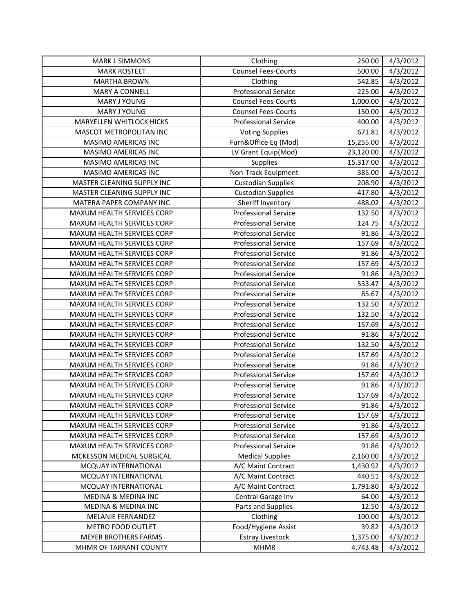| <b>MARK L SIMMONS</b>          | Clothing                    | 250.00    | 4/3/2012 |
|--------------------------------|-----------------------------|-----------|----------|
| <b>MARK ROSTEET</b>            | <b>Counsel Fees-Courts</b>  | 500.00    | 4/3/2012 |
| <b>MARTHA BROWN</b>            | Clothing                    | 542.85    | 4/3/2012 |
| <b>MARY A CONNELL</b>          | <b>Professional Service</b> | 225.00    | 4/3/2012 |
| MARY J YOUNG                   | <b>Counsel Fees-Courts</b>  | 1,000.00  | 4/3/2012 |
| MARY J YOUNG                   | <b>Counsel Fees-Courts</b>  | 150.00    | 4/3/2012 |
| MARYELLEN WHITLOCK HICKS       | <b>Professional Service</b> | 400.00    | 4/3/2012 |
| MASCOT METROPOLITAN INC        | <b>Voting Supplies</b>      | 671.81    | 4/3/2012 |
| MASIMO AMERICAS INC            | Furn&Office Eq (Mod)        | 15,255.00 | 4/3/2012 |
| MASIMO AMERICAS INC            | LV Grant Equip(Mod)         | 23,120.00 | 4/3/2012 |
| MASIMO AMERICAS INC            | Supplies                    | 15,317.00 | 4/3/2012 |
| MASIMO AMERICAS INC            | Non-Track Equipment         | 385.00    | 4/3/2012 |
| MASTER CLEANING SUPPLY INC     | <b>Custodian Supplies</b>   | 208.90    | 4/3/2012 |
| MASTER CLEANING SUPPLY INC     | <b>Custodian Supplies</b>   | 417.80    | 4/3/2012 |
| MATERA PAPER COMPANY INC       | Sheriff Inventory           | 488.02    | 4/3/2012 |
| MAXUM HEALTH SERVICES CORP     | <b>Professional Service</b> | 132.50    | 4/3/2012 |
| MAXUM HEALTH SERVICES CORP     | <b>Professional Service</b> | 124.75    | 4/3/2012 |
| MAXUM HEALTH SERVICES CORP     | <b>Professional Service</b> | 91.86     | 4/3/2012 |
| MAXUM HEALTH SERVICES CORP     | <b>Professional Service</b> | 157.69    | 4/3/2012 |
| MAXUM HEALTH SERVICES CORP     | <b>Professional Service</b> | 91.86     | 4/3/2012 |
| MAXUM HEALTH SERVICES CORP     | <b>Professional Service</b> | 157.69    | 4/3/2012 |
| MAXUM HEALTH SERVICES CORP     | <b>Professional Service</b> | 91.86     | 4/3/2012 |
| MAXUM HEALTH SERVICES CORP     | <b>Professional Service</b> | 533.47    | 4/3/2012 |
| MAXUM HEALTH SERVICES CORP     | <b>Professional Service</b> | 85.67     | 4/3/2012 |
| MAXUM HEALTH SERVICES CORP     | <b>Professional Service</b> | 132.50    | 4/3/2012 |
| MAXUM HEALTH SERVICES CORP     | <b>Professional Service</b> | 132.50    | 4/3/2012 |
| MAXUM HEALTH SERVICES CORP     | <b>Professional Service</b> | 157.69    | 4/3/2012 |
| MAXUM HEALTH SERVICES CORP     | <b>Professional Service</b> | 91.86     | 4/3/2012 |
| MAXUM HEALTH SERVICES CORP     | <b>Professional Service</b> | 132.50    | 4/3/2012 |
| MAXUM HEALTH SERVICES CORP     | <b>Professional Service</b> | 157.69    | 4/3/2012 |
| MAXUM HEALTH SERVICES CORP     | <b>Professional Service</b> | 91.86     | 4/3/2012 |
| MAXUM HEALTH SERVICES CORP     | <b>Professional Service</b> | 157.69    | 4/3/2012 |
| MAXUM HEALTH SERVICES CORP     | <b>Professional Service</b> | 91.86     | 4/3/2012 |
| MAXUM HEALTH SERVICES CORP     | <b>Professional Service</b> | 157.69    | 4/3/2012 |
| MAXUM HEALTH SERVICES CORP     | <b>Professional Service</b> | 91.86     | 4/3/2012 |
| MAXUM HEALTH SERVICES CORP     | <b>Professional Service</b> | 157.69    | 4/3/2012 |
| MAXUM HEALTH SERVICES CORP     | <b>Professional Service</b> | 91.86     | 4/3/2012 |
| MAXUM HEALTH SERVICES CORP     | <b>Professional Service</b> | 157.69    | 4/3/2012 |
| MAXUM HEALTH SERVICES CORP     | <b>Professional Service</b> | 91.86     | 4/3/2012 |
| MCKESSON MEDICAL SURGICAL      | <b>Medical Supplies</b>     | 2,160.00  | 4/3/2012 |
| MCQUAY INTERNATIONAL           | A/C Maint Contract          | 1,430.92  | 4/3/2012 |
| MCQUAY INTERNATIONAL           | A/C Maint Contract          | 440.51    | 4/3/2012 |
| MCQUAY INTERNATIONAL           | A/C Maint Contract          | 1,791.80  | 4/3/2012 |
| <b>MEDINA &amp; MEDINA INC</b> | Central Garage Inv          | 64.00     | 4/3/2012 |
| MEDINA & MEDINA INC            | Parts and Supplies          | 12.50     | 4/3/2012 |
| MELANIE FERNANDEZ              | Clothing                    | 100.00    | 4/3/2012 |
| METRO FOOD OUTLET              | Food/Hygiene Assist         | 39.82     | 4/3/2012 |
| MEYER BROTHERS FARMS           | <b>Estray Livestock</b>     | 1,375.00  | 4/3/2012 |
| MHMR OF TARRANT COUNTY         | <b>MHMR</b>                 | 4,743.48  | 4/3/2012 |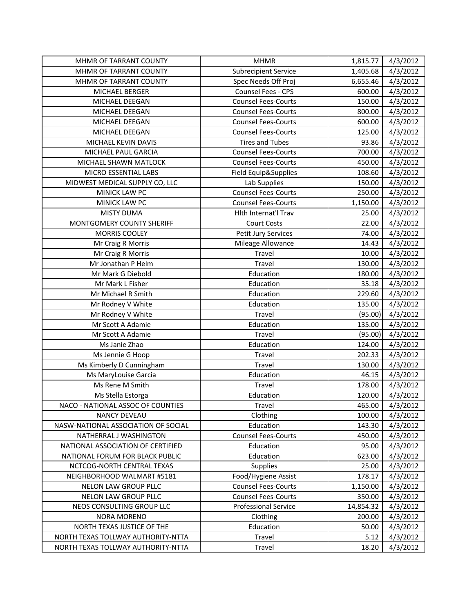| MHMR OF TARRANT COUNTY              | <b>MHMR</b>                 | 1,815.77  | 4/3/2012 |
|-------------------------------------|-----------------------------|-----------|----------|
| MHMR OF TARRANT COUNTY              | <b>Subrecipient Service</b> | 1,405.68  | 4/3/2012 |
| MHMR OF TARRANT COUNTY              | Spec Needs Off Proj         | 6,655.46  | 4/3/2012 |
| MICHAEL BERGER                      | Counsel Fees - CPS          | 600.00    | 4/3/2012 |
| MICHAEL DEEGAN                      | <b>Counsel Fees-Courts</b>  | 150.00    | 4/3/2012 |
| MICHAEL DEEGAN                      | <b>Counsel Fees-Courts</b>  | 800.00    | 4/3/2012 |
| MICHAEL DEEGAN                      | <b>Counsel Fees-Courts</b>  | 600.00    | 4/3/2012 |
| MICHAEL DEEGAN                      | <b>Counsel Fees-Courts</b>  | 125.00    | 4/3/2012 |
| MICHAEL KEVIN DAVIS                 | <b>Tires and Tubes</b>      | 93.86     | 4/3/2012 |
| MICHAEL PAUL GARCIA                 | <b>Counsel Fees-Courts</b>  | 700.00    | 4/3/2012 |
| MICHAEL SHAWN MATLOCK               | <b>Counsel Fees-Courts</b>  | 450.00    | 4/3/2012 |
| MICRO ESSENTIAL LABS                | Field Equip&Supplies        | 108.60    | 4/3/2012 |
| MIDWEST MEDICAL SUPPLY CO, LLC      | Lab Supplies                | 150.00    | 4/3/2012 |
| MINICK LAW PC                       | <b>Counsel Fees-Courts</b>  | 250.00    | 4/3/2012 |
| MINICK LAW PC                       | <b>Counsel Fees-Courts</b>  | 1,150.00  | 4/3/2012 |
| <b>MISTY DUMA</b>                   | Hlth Internat'l Trav        | 25.00     | 4/3/2012 |
| MONTGOMERY COUNTY SHERIFF           | <b>Court Costs</b>          | 22.00     | 4/3/2012 |
| <b>MORRIS COOLEY</b>                | Petit Jury Services         | 74.00     | 4/3/2012 |
| Mr Craig R Morris                   | Mileage Allowance           | 14.43     | 4/3/2012 |
| Mr Craig R Morris                   | Travel                      | 10.00     | 4/3/2012 |
| Mr Jonathan P Helm                  | Travel                      | 130.00    | 4/3/2012 |
| Mr Mark G Diebold                   | Education                   | 180.00    | 4/3/2012 |
| Mr Mark L Fisher                    | Education                   | 35.18     | 4/3/2012 |
| Mr Michael R Smith                  | Education                   | 229.60    | 4/3/2012 |
| Mr Rodney V White                   | Education                   | 135.00    | 4/3/2012 |
| Mr Rodney V White                   | Travel                      | (95.00)   | 4/3/2012 |
| Mr Scott A Adamie                   | Education                   | 135.00    | 4/3/2012 |
| Mr Scott A Adamie                   | Travel                      | (95.00)   | 4/3/2012 |
| Ms Janie Zhao                       | Education                   | 124.00    | 4/3/2012 |
| Ms Jennie G Hoop                    | Travel                      | 202.33    | 4/3/2012 |
| Ms Kimberly D Cunningham            | Travel                      | 130.00    | 4/3/2012 |
| Ms MaryLouise Garcia                | Education                   | 46.15     | 4/3/2012 |
| Ms Rene M Smith                     | Travel                      | 178.00    | 4/3/2012 |
| Ms Stella Estorga                   | Education                   | 120.00    | 4/3/2012 |
| NACO - NATIONAL ASSOC OF COUNTIES   | Travel                      | 465.00    | 4/3/2012 |
| <b>NANCY DEVEAU</b>                 | Clothing                    | 100.00    | 4/3/2012 |
| NASW-NATIONAL ASSOCIATION OF SOCIAL | Education                   | 143.30    | 4/3/2012 |
| NATHERRAL J WASHINGTON              | <b>Counsel Fees-Courts</b>  | 450.00    | 4/3/2012 |
| NATIONAL ASSOCIATION OF CERTIFIED   | Education                   | 95.00     | 4/3/2012 |
| NATIONAL FORUM FOR BLACK PUBLIC     | Education                   | 623.00    | 4/3/2012 |
| NCTCOG-NORTH CENTRAL TEXAS          | <b>Supplies</b>             | 25.00     | 4/3/2012 |
| NEIGHBORHOOD WALMART #5181          | Food/Hygiene Assist         | 178.17    | 4/3/2012 |
| NELON LAW GROUP PLLC                | <b>Counsel Fees-Courts</b>  | 1,150.00  | 4/3/2012 |
| NELON LAW GROUP PLLC                | <b>Counsel Fees-Courts</b>  | 350.00    | 4/3/2012 |
| NEOS CONSULTING GROUP LLC           | <b>Professional Service</b> | 14,854.32 | 4/3/2012 |
| <b>NORA MORENO</b>                  | Clothing                    | 200.00    | 4/3/2012 |
| NORTH TEXAS JUSTICE OF THE          | Education                   | 50.00     | 4/3/2012 |
| NORTH TEXAS TOLLWAY AUTHORITY-NTTA  | Travel                      | 5.12      | 4/3/2012 |
| NORTH TEXAS TOLLWAY AUTHORITY-NTTA  | Travel                      | 18.20     | 4/3/2012 |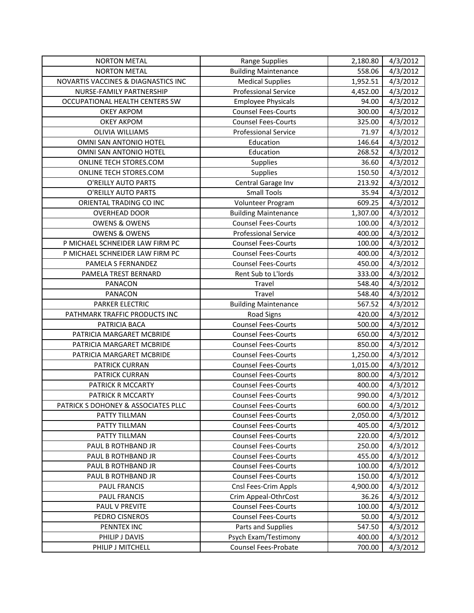| <b>NORTON METAL</b>                 | <b>Range Supplies</b>       | 2,180.80 | 4/3/2012 |
|-------------------------------------|-----------------------------|----------|----------|
| <b>NORTON METAL</b>                 | <b>Building Maintenance</b> | 558.06   | 4/3/2012 |
| NOVARTIS VACCINES & DIAGNASTICS INC | <b>Medical Supplies</b>     | 1,952.51 | 4/3/2012 |
| NURSE-FAMILY PARTNERSHIP            | <b>Professional Service</b> | 4,452.00 | 4/3/2012 |
| OCCUPATIONAL HEALTH CENTERS SW      | <b>Employee Physicals</b>   | 94.00    | 4/3/2012 |
| <b>OKEY AKPOM</b>                   | <b>Counsel Fees-Courts</b>  | 300.00   | 4/3/2012 |
| <b>OKEY AKPOM</b>                   | <b>Counsel Fees-Courts</b>  | 325.00   | 4/3/2012 |
| <b>OLIVIA WILLIAMS</b>              | <b>Professional Service</b> | 71.97    | 4/3/2012 |
| OMNI SAN ANTONIO HOTEL              | Education                   | 146.64   | 4/3/2012 |
| OMNI SAN ANTONIO HOTEL              | Education                   | 268.52   | 4/3/2012 |
| ONLINE TECH STORES.COM              | Supplies                    | 36.60    | 4/3/2012 |
| ONLINE TECH STORES.COM              | Supplies                    | 150.50   | 4/3/2012 |
| O'REILLY AUTO PARTS                 | Central Garage Inv          | 213.92   | 4/3/2012 |
| O'REILLY AUTO PARTS                 | <b>Small Tools</b>          | 35.94    | 4/3/2012 |
| ORIENTAL TRADING CO INC             | Volunteer Program           | 609.25   | 4/3/2012 |
| <b>OVERHEAD DOOR</b>                | <b>Building Maintenance</b> | 1,307.00 | 4/3/2012 |
| <b>OWENS &amp; OWENS</b>            | <b>Counsel Fees-Courts</b>  | 100.00   | 4/3/2012 |
| <b>OWENS &amp; OWENS</b>            | <b>Professional Service</b> | 400.00   | 4/3/2012 |
| P MICHAEL SCHNEIDER LAW FIRM PC     | <b>Counsel Fees-Courts</b>  | 100.00   | 4/3/2012 |
| P MICHAEL SCHNEIDER LAW FIRM PC     | <b>Counsel Fees-Courts</b>  | 400.00   | 4/3/2012 |
| PAMELA S FERNANDEZ                  | <b>Counsel Fees-Courts</b>  | 450.00   | 4/3/2012 |
| PAMELA TREST BERNARD                | Rent Sub to L'Iords         | 333.00   | 4/3/2012 |
| PANACON                             | Travel                      | 548.40   | 4/3/2012 |
| PANACON                             | Travel                      | 548.40   | 4/3/2012 |
| PARKER ELECTRIC                     | <b>Building Maintenance</b> | 567.52   | 4/3/2012 |
| PATHMARK TRAFFIC PRODUCTS INC       | <b>Road Signs</b>           | 420.00   | 4/3/2012 |
| PATRICIA BACA                       | <b>Counsel Fees-Courts</b>  | 500.00   | 4/3/2012 |
| PATRICIA MARGARET MCBRIDE           | <b>Counsel Fees-Courts</b>  | 650.00   | 4/3/2012 |
| PATRICIA MARGARET MCBRIDE           | <b>Counsel Fees-Courts</b>  | 850.00   | 4/3/2012 |
| PATRICIA MARGARET MCBRIDE           | <b>Counsel Fees-Courts</b>  | 1,250.00 | 4/3/2012 |
| PATRICK CURRAN                      | <b>Counsel Fees-Courts</b>  | 1,015.00 | 4/3/2012 |
| PATRICK CURRAN                      | <b>Counsel Fees-Courts</b>  | 800.00   | 4/3/2012 |
| PATRICK R MCCARTY                   | <b>Counsel Fees-Courts</b>  | 400.00   | 4/3/2012 |
| PATRICK R MCCARTY                   | <b>Counsel Fees-Courts</b>  | 990.00   | 4/3/2012 |
| PATRICK S DOHONEY & ASSOCIATES PLLC | <b>Counsel Fees-Courts</b>  | 600.00   | 4/3/2012 |
| PATTY TILLMAN                       | <b>Counsel Fees-Courts</b>  | 2,050.00 | 4/3/2012 |
| PATTY TILLMAN                       | <b>Counsel Fees-Courts</b>  | 405.00   | 4/3/2012 |
| PATTY TILLMAN                       | <b>Counsel Fees-Courts</b>  | 220.00   | 4/3/2012 |
| PAUL B ROTHBAND JR                  | <b>Counsel Fees-Courts</b>  | 250.00   | 4/3/2012 |
| PAUL B ROTHBAND JR                  | <b>Counsel Fees-Courts</b>  | 455.00   | 4/3/2012 |
| PAUL B ROTHBAND JR                  | <b>Counsel Fees-Courts</b>  | 100.00   | 4/3/2012 |
| PAUL B ROTHBAND JR                  | <b>Counsel Fees-Courts</b>  | 150.00   | 4/3/2012 |
| PAUL FRANCIS                        | Cnsl Fees-Crim Appls        | 4,900.00 | 4/3/2012 |
| PAUL FRANCIS                        | Crim Appeal-OthrCost        | 36.26    | 4/3/2012 |
| PAUL V PREVITE                      | <b>Counsel Fees-Courts</b>  | 100.00   | 4/3/2012 |
| PEDRO CISNEROS                      | <b>Counsel Fees-Courts</b>  | 50.00    | 4/3/2012 |
| PENNTEX INC                         | Parts and Supplies          | 547.50   | 4/3/2012 |
| PHILIP J DAVIS                      | Psych Exam/Testimony        | 400.00   | 4/3/2012 |
| PHILIP J MITCHELL                   | Counsel Fees-Probate        | 700.00   | 4/3/2012 |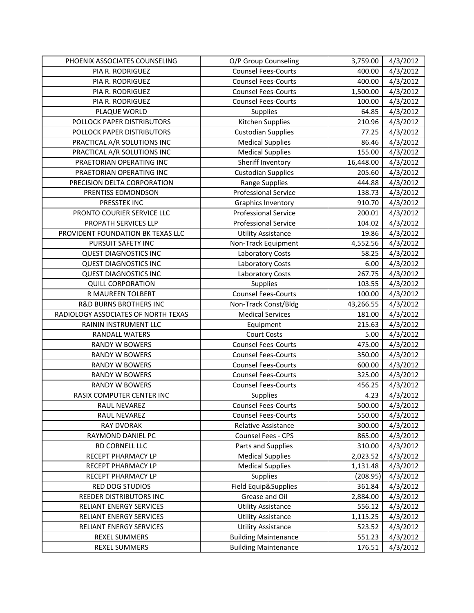| PHOENIX ASSOCIATES COUNSELING         | O/P Group Counseling                                       | 3,759.00         | 4/3/2012             |
|---------------------------------------|------------------------------------------------------------|------------------|----------------------|
| PIA R. RODRIGUEZ                      | <b>Counsel Fees-Courts</b>                                 | 400.00           | 4/3/2012             |
| PIA R. RODRIGUEZ                      | <b>Counsel Fees-Courts</b>                                 | 400.00           | 4/3/2012             |
| PIA R. RODRIGUEZ                      | <b>Counsel Fees-Courts</b>                                 | 1,500.00         | 4/3/2012             |
| PIA R. RODRIGUEZ                      | <b>Counsel Fees-Courts</b>                                 | 100.00           | 4/3/2012             |
| PLAQUE WORLD                          | Supplies                                                   | 64.85            | 4/3/2012             |
| POLLOCK PAPER DISTRIBUTORS            | Kitchen Supplies                                           | 210.96           | 4/3/2012             |
| POLLOCK PAPER DISTRIBUTORS            | <b>Custodian Supplies</b>                                  | 77.25            | 4/3/2012             |
| PRACTICAL A/R SOLUTIONS INC           | <b>Medical Supplies</b>                                    | 86.46            | 4/3/2012             |
| PRACTICAL A/R SOLUTIONS INC           | <b>Medical Supplies</b>                                    | 155.00           | 4/3/2012             |
| PRAETORIAN OPERATING INC              | Sheriff Inventory                                          | 16,448.00        | 4/3/2012             |
| PRAETORIAN OPERATING INC              | <b>Custodian Supplies</b>                                  | 205.60           | 4/3/2012             |
| PRECISION DELTA CORPORATION           | Range Supplies                                             | 444.88           | 4/3/2012             |
| PRENTISS EDMONDSON                    | <b>Professional Service</b>                                | 138.73           | 4/3/2012             |
| PRESSTEK INC                          | Graphics Inventory                                         | 910.70           | 4/3/2012             |
| PRONTO COURIER SERVICE LLC            | <b>Professional Service</b>                                | 200.01           | 4/3/2012             |
| PROPATH SERVICES LLP                  | <b>Professional Service</b>                                | 104.02           | 4/3/2012             |
| PROVIDENT FOUNDATION BK TEXAS LLC     | <b>Utility Assistance</b>                                  | 19.86            | 4/3/2012             |
| PURSUIT SAFETY INC                    | Non-Track Equipment                                        | 4,552.56         | 4/3/2012             |
| <b>QUEST DIAGNOSTICS INC</b>          | Laboratory Costs                                           | 58.25            | 4/3/2012             |
| <b>QUEST DIAGNOSTICS INC</b>          | <b>Laboratory Costs</b>                                    | 6.00             | 4/3/2012             |
| <b>QUEST DIAGNOSTICS INC</b>          | Laboratory Costs                                           | 267.75           | 4/3/2012             |
| <b>QUILL CORPORATION</b>              | Supplies                                                   | 103.55           | 4/3/2012             |
| R MAUREEN TOLBERT                     | <b>Counsel Fees-Courts</b>                                 | 100.00           | 4/3/2012             |
| <b>R&amp;D BURNS BROTHERS INC</b>     | Non-Track Const/Bldg                                       | 43,266.55        | 4/3/2012             |
| RADIOLOGY ASSOCIATES OF NORTH TEXAS   | <b>Medical Services</b>                                    | 181.00           | 4/3/2012             |
| RAININ INSTRUMENT LLC                 | Equipment                                                  | 215.63           | 4/3/2012             |
| RANDALL WATERS                        | <b>Court Costs</b>                                         | 5.00             | 4/3/2012             |
| RANDY W BOWERS                        | <b>Counsel Fees-Courts</b>                                 | 475.00           | 4/3/2012             |
| <b>RANDY W BOWERS</b>                 | <b>Counsel Fees-Courts</b>                                 | 350.00           | 4/3/2012             |
| <b>RANDY W BOWERS</b>                 | <b>Counsel Fees-Courts</b>                                 | 600.00           | 4/3/2012             |
| <b>RANDY W BOWERS</b>                 | <b>Counsel Fees-Courts</b>                                 | 325.00           | 4/3/2012             |
| <b>RANDY W BOWERS</b>                 | <b>Counsel Fees-Courts</b>                                 | 456.25           | 4/3/2012             |
| RASIX COMPUTER CENTER INC             | Supplies                                                   | 4.23             | 4/3/2012             |
| RAUL NEVAREZ                          | <b>Counsel Fees-Courts</b>                                 | 500.00           | 4/3/2012             |
| RAUL NEVAREZ                          | <b>Counsel Fees-Courts</b>                                 | 550.00           | 4/3/2012             |
| <b>RAY DVORAK</b>                     | Relative Assistance                                        | 300.00           | 4/3/2012             |
| RAYMOND DANIEL PC                     | Counsel Fees - CPS                                         | 865.00           | 4/3/2012             |
| RD CORNELL LLC                        | Parts and Supplies                                         | 310.00           | 4/3/2012             |
| RECEPT PHARMACY LP                    | <b>Medical Supplies</b>                                    | 2,023.52         | 4/3/2012             |
| RECEPT PHARMACY LP                    | <b>Medical Supplies</b>                                    | 1,131.48         | 4/3/2012             |
| RECEPT PHARMACY LP                    | Supplies                                                   | (208.95)         | 4/3/2012             |
| RED DOG STUDIOS                       | Field Equip&Supplies                                       | 361.84           | 4/3/2012             |
| REEDER DISTRIBUTORS INC               | Grease and Oil                                             | 2,884.00         | 4/3/2012             |
| RELIANT ENERGY SERVICES               |                                                            |                  | 4/3/2012             |
|                                       | <b>Utility Assistance</b>                                  | 556.12           |                      |
| RELIANT ENERGY SERVICES               | <b>Utility Assistance</b>                                  | 1,115.25         | 4/3/2012             |
| RELIANT ENERGY SERVICES               | <b>Utility Assistance</b>                                  | 523.52           | 4/3/2012             |
| <b>REXEL SUMMERS</b><br>REXEL SUMMERS | <b>Building Maintenance</b><br><b>Building Maintenance</b> | 551.23<br>176.51 | 4/3/2012<br>4/3/2012 |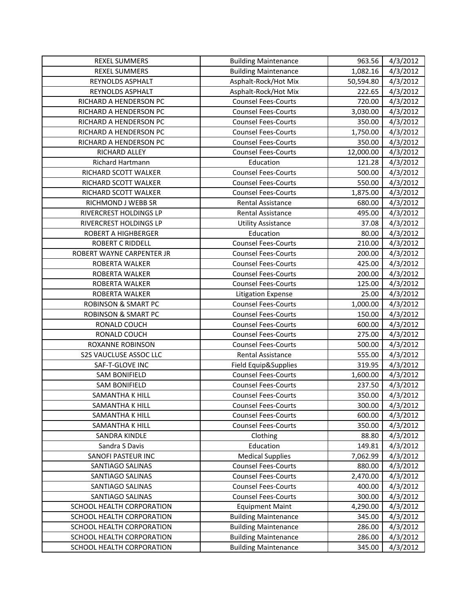| <b>REXEL SUMMERS</b>           | <b>Building Maintenance</b> | 963.56    | 4/3/2012 |
|--------------------------------|-----------------------------|-----------|----------|
| <b>REXEL SUMMERS</b>           | <b>Building Maintenance</b> | 1,082.16  | 4/3/2012 |
| REYNOLDS ASPHALT               | Asphalt-Rock/Hot Mix        | 50,594.80 | 4/3/2012 |
| REYNOLDS ASPHALT               | Asphalt-Rock/Hot Mix        | 222.65    | 4/3/2012 |
| RICHARD A HENDERSON PC         | <b>Counsel Fees-Courts</b>  | 720.00    | 4/3/2012 |
| RICHARD A HENDERSON PC         | <b>Counsel Fees-Courts</b>  | 3,030.00  | 4/3/2012 |
| RICHARD A HENDERSON PC         | <b>Counsel Fees-Courts</b>  | 350.00    | 4/3/2012 |
| RICHARD A HENDERSON PC         | <b>Counsel Fees-Courts</b>  | 1,750.00  | 4/3/2012 |
| RICHARD A HENDERSON PC         | <b>Counsel Fees-Courts</b>  | 350.00    | 4/3/2012 |
| RICHARD ALLEY                  | <b>Counsel Fees-Courts</b>  | 12,000.00 | 4/3/2012 |
| Richard Hartmann               | Education                   | 121.28    | 4/3/2012 |
| RICHARD SCOTT WALKER           | <b>Counsel Fees-Courts</b>  | 500.00    | 4/3/2012 |
| RICHARD SCOTT WALKER           | <b>Counsel Fees-Courts</b>  | 550.00    | 4/3/2012 |
| RICHARD SCOTT WALKER           | <b>Counsel Fees-Courts</b>  | 1,875.00  | 4/3/2012 |
| RICHMOND J WEBB SR             | Rental Assistance           | 680.00    | 4/3/2012 |
| RIVERCREST HOLDINGS LP         | Rental Assistance           | 495.00    | 4/3/2012 |
| RIVERCREST HOLDINGS LP         | <b>Utility Assistance</b>   | 37.08     | 4/3/2012 |
| <b>ROBERT A HIGHBERGER</b>     | Education                   | 80.00     | 4/3/2012 |
| <b>ROBERT C RIDDELL</b>        | <b>Counsel Fees-Courts</b>  | 210.00    | 4/3/2012 |
| ROBERT WAYNE CARPENTER JR      | <b>Counsel Fees-Courts</b>  | 200.00    | 4/3/2012 |
| <b>ROBERTA WALKER</b>          | <b>Counsel Fees-Courts</b>  | 425.00    | 4/3/2012 |
| <b>ROBERTA WALKER</b>          | <b>Counsel Fees-Courts</b>  | 200.00    | 4/3/2012 |
| ROBERTA WALKER                 | <b>Counsel Fees-Courts</b>  | 125.00    | 4/3/2012 |
| ROBERTA WALKER                 | <b>Litigation Expense</b>   | 25.00     | 4/3/2012 |
| <b>ROBINSON &amp; SMART PC</b> | <b>Counsel Fees-Courts</b>  | 1,000.00  | 4/3/2012 |
| <b>ROBINSON &amp; SMART PC</b> | <b>Counsel Fees-Courts</b>  | 150.00    | 4/3/2012 |
| RONALD COUCH                   | <b>Counsel Fees-Courts</b>  | 600.00    | 4/3/2012 |
| RONALD COUCH                   | <b>Counsel Fees-Courts</b>  | 275.00    | 4/3/2012 |
| ROXANNE ROBINSON               | <b>Counsel Fees-Courts</b>  | 500.00    | 4/3/2012 |
| S2S VAUCLUSE ASSOC LLC         | Rental Assistance           | 555.00    | 4/3/2012 |
| SAF-T-GLOVE INC                | Field Equip&Supplies        | 319.95    | 4/3/2012 |
| <b>SAM BONIFIELD</b>           | <b>Counsel Fees-Courts</b>  | 1,600.00  | 4/3/2012 |
| <b>SAM BONIFIELD</b>           | <b>Counsel Fees-Courts</b>  | 237.50    | 4/3/2012 |
| <b>SAMANTHA K HILL</b>         | <b>Counsel Fees-Courts</b>  | 350.00    | 4/3/2012 |
| SAMANTHA K HILL                | <b>Counsel Fees-Courts</b>  | 300.00    | 4/3/2012 |
| SAMANTHA K HILL                | <b>Counsel Fees-Courts</b>  | 600.00    | 4/3/2012 |
| SAMANTHA K HILL                | <b>Counsel Fees-Courts</b>  | 350.00    | 4/3/2012 |
| SANDRA KINDLE                  | Clothing                    | 88.80     | 4/3/2012 |
| Sandra S Davis                 | Education                   | 149.81    | 4/3/2012 |
| SANOFI PASTEUR INC             | <b>Medical Supplies</b>     | 7,062.99  | 4/3/2012 |
| SANTIAGO SALINAS               | <b>Counsel Fees-Courts</b>  | 880.00    | 4/3/2012 |
| SANTIAGO SALINAS               | <b>Counsel Fees-Courts</b>  | 2,470.00  | 4/3/2012 |
| SANTIAGO SALINAS               | <b>Counsel Fees-Courts</b>  | 400.00    | 4/3/2012 |
| SANTIAGO SALINAS               | <b>Counsel Fees-Courts</b>  | 300.00    | 4/3/2012 |
| SCHOOL HEALTH CORPORATION      | <b>Equipment Maint</b>      | 4,290.00  | 4/3/2012 |
| SCHOOL HEALTH CORPORATION      | <b>Building Maintenance</b> | 345.00    | 4/3/2012 |
| SCHOOL HEALTH CORPORATION      | <b>Building Maintenance</b> | 286.00    | 4/3/2012 |
| SCHOOL HEALTH CORPORATION      | <b>Building Maintenance</b> | 286.00    | 4/3/2012 |
| SCHOOL HEALTH CORPORATION      | <b>Building Maintenance</b> | 345.00    | 4/3/2012 |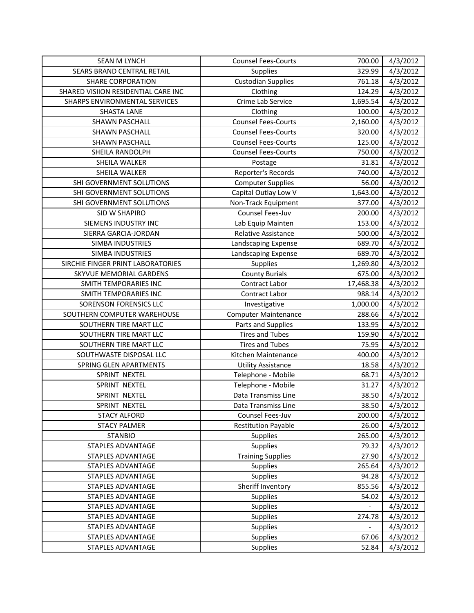| <b>SEAN M LYNCH</b>                 | <b>Counsel Fees-Courts</b>  | 700.00    | 4/3/2012 |
|-------------------------------------|-----------------------------|-----------|----------|
| SEARS BRAND CENTRAL RETAIL          | <b>Supplies</b>             | 329.99    | 4/3/2012 |
| <b>SHARE CORPORATION</b>            | <b>Custodian Supplies</b>   | 761.18    | 4/3/2012 |
| SHARED VISIION RESIDENTIAL CARE INC | Clothing                    | 124.29    | 4/3/2012 |
| SHARPS ENVIRONMENTAL SERVICES       | Crime Lab Service           | 1,695.54  | 4/3/2012 |
| <b>SHASTA LANE</b>                  | Clothing                    | 100.00    | 4/3/2012 |
| <b>SHAWN PASCHALL</b>               | <b>Counsel Fees-Courts</b>  | 2,160.00  | 4/3/2012 |
| SHAWN PASCHALL                      | <b>Counsel Fees-Courts</b>  | 320.00    | 4/3/2012 |
| <b>SHAWN PASCHALL</b>               | <b>Counsel Fees-Courts</b>  | 125.00    | 4/3/2012 |
| SHEILA RANDOLPH                     | <b>Counsel Fees-Courts</b>  | 750.00    | 4/3/2012 |
| SHEILA WALKER                       | Postage                     | 31.81     | 4/3/2012 |
| SHEILA WALKER                       | Reporter's Records          | 740.00    | 4/3/2012 |
| SHI GOVERNMENT SOLUTIONS            | <b>Computer Supplies</b>    | 56.00     | 4/3/2012 |
| SHI GOVERNMENT SOLUTIONS            | Capital Outlay Low V        | 1,643.00  | 4/3/2012 |
| SHI GOVERNMENT SOLUTIONS            | Non-Track Equipment         | 377.00    | 4/3/2012 |
| SID W SHAPIRO                       | Counsel Fees-Juv            | 200.00    | 4/3/2012 |
| SIEMENS INDUSTRY INC                | Lab Equip Mainten           | 153.00    | 4/3/2012 |
| SIERRA GARCIA-JORDAN                | Relative Assistance         | 500.00    | 4/3/2012 |
| <b>SIMBA INDUSTRIES</b>             | Landscaping Expense         | 689.70    | 4/3/2012 |
| SIMBA INDUSTRIES                    | Landscaping Expense         | 689.70    | 4/3/2012 |
| SIRCHIE FINGER PRINT LABORATORIES   | Supplies                    | 1,269.80  | 4/3/2012 |
| SKYVUE MEMORIAL GARDENS             | <b>County Burials</b>       | 675.00    | 4/3/2012 |
| SMITH TEMPORARIES INC               | Contract Labor              | 17,468.38 | 4/3/2012 |
| SMITH TEMPORARIES INC               | Contract Labor              | 988.14    | 4/3/2012 |
| SORENSON FORENSICS LLC              | Investigative               | 1,000.00  | 4/3/2012 |
| SOUTHERN COMPUTER WAREHOUSE         | <b>Computer Maintenance</b> | 288.66    | 4/3/2012 |
| SOUTHERN TIRE MART LLC              | Parts and Supplies          | 133.95    | 4/3/2012 |
| SOUTHERN TIRE MART LLC              | <b>Tires and Tubes</b>      | 159.90    | 4/3/2012 |
| SOUTHERN TIRE MART LLC              | <b>Tires and Tubes</b>      | 75.95     | 4/3/2012 |
| SOUTHWASTE DISPOSAL LLC             | Kitchen Maintenance         | 400.00    | 4/3/2012 |
| SPRING GLEN APARTMENTS              | <b>Utility Assistance</b>   | 18.58     | 4/3/2012 |
| SPRINT NEXTEL                       | Telephone - Mobile          | 68.71     | 4/3/2012 |
| SPRINT NEXTEL                       | Telephone - Mobile          | 31.27     | 4/3/2012 |
| SPRINT NEXTEL                       | Data Transmiss Line         | 38.50     | 4/3/2012 |
| SPRINT NEXTEL                       | Data Transmiss Line         | 38.50     | 4/3/2012 |
| <b>STACY ALFORD</b>                 | Counsel Fees-Juv            | 200.00    | 4/3/2012 |
| <b>STACY PALMER</b>                 | <b>Restitution Payable</b>  | 26.00     | 4/3/2012 |
| <b>STANBIO</b>                      | Supplies                    | 265.00    | 4/3/2012 |
| <b>STAPLES ADVANTAGE</b>            | Supplies                    | 79.32     | 4/3/2012 |
| <b>STAPLES ADVANTAGE</b>            | <b>Training Supplies</b>    | 27.90     | 4/3/2012 |
| STAPLES ADVANTAGE                   | <b>Supplies</b>             | 265.64    | 4/3/2012 |
| STAPLES ADVANTAGE                   | <b>Supplies</b>             | 94.28     | 4/3/2012 |
| <b>STAPLES ADVANTAGE</b>            | Sheriff Inventory           | 855.56    | 4/3/2012 |
| STAPLES ADVANTAGE                   | <b>Supplies</b>             | 54.02     | 4/3/2012 |
| <b>STAPLES ADVANTAGE</b>            | <b>Supplies</b>             |           | 4/3/2012 |
| STAPLES ADVANTAGE                   | <b>Supplies</b>             | 274.78    | 4/3/2012 |
| STAPLES ADVANTAGE                   | <b>Supplies</b>             |           | 4/3/2012 |
| STAPLES ADVANTAGE                   | <b>Supplies</b>             | 67.06     | 4/3/2012 |
| STAPLES ADVANTAGE                   | Supplies                    | 52.84     | 4/3/2012 |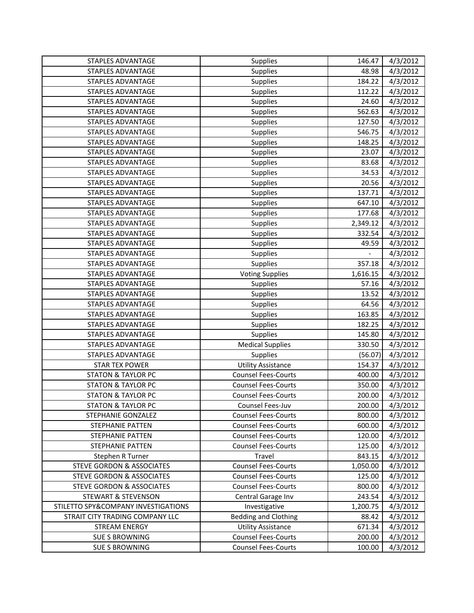| STAPLES ADVANTAGE                    | <b>Supplies</b>             | 146.47   | 4/3/2012 |
|--------------------------------------|-----------------------------|----------|----------|
| STAPLES ADVANTAGE                    | Supplies                    | 48.98    | 4/3/2012 |
| STAPLES ADVANTAGE                    | Supplies                    | 184.22   | 4/3/2012 |
| <b>STAPLES ADVANTAGE</b>             | Supplies                    | 112.22   | 4/3/2012 |
| <b>STAPLES ADVANTAGE</b>             | Supplies                    | 24.60    | 4/3/2012 |
| <b>STAPLES ADVANTAGE</b>             | Supplies                    | 562.63   | 4/3/2012 |
| STAPLES ADVANTAGE                    | Supplies                    | 127.50   | 4/3/2012 |
| STAPLES ADVANTAGE                    | Supplies                    | 546.75   | 4/3/2012 |
| <b>STAPLES ADVANTAGE</b>             | Supplies                    | 148.25   | 4/3/2012 |
| STAPLES ADVANTAGE                    | Supplies                    | 23.07    | 4/3/2012 |
| <b>STAPLES ADVANTAGE</b>             | Supplies                    | 83.68    | 4/3/2012 |
| <b>STAPLES ADVANTAGE</b>             | Supplies                    | 34.53    | 4/3/2012 |
| STAPLES ADVANTAGE                    | Supplies                    | 20.56    | 4/3/2012 |
| STAPLES ADVANTAGE                    | Supplies                    | 137.71   | 4/3/2012 |
| <b>STAPLES ADVANTAGE</b>             | Supplies                    | 647.10   | 4/3/2012 |
| <b>STAPLES ADVANTAGE</b>             | Supplies                    | 177.68   | 4/3/2012 |
| <b>STAPLES ADVANTAGE</b>             | Supplies                    | 2,349.12 | 4/3/2012 |
| STAPLES ADVANTAGE                    | Supplies                    | 332.54   | 4/3/2012 |
| STAPLES ADVANTAGE                    | Supplies                    | 49.59    | 4/3/2012 |
| <b>STAPLES ADVANTAGE</b>             | Supplies                    |          | 4/3/2012 |
| STAPLES ADVANTAGE                    | Supplies                    | 357.18   | 4/3/2012 |
| STAPLES ADVANTAGE                    | <b>Voting Supplies</b>      | 1,616.15 | 4/3/2012 |
| <b>STAPLES ADVANTAGE</b>             | Supplies                    | 57.16    | 4/3/2012 |
| STAPLES ADVANTAGE                    | Supplies                    | 13.52    | 4/3/2012 |
| STAPLES ADVANTAGE                    | Supplies                    | 64.56    | 4/3/2012 |
| <b>STAPLES ADVANTAGE</b>             | Supplies                    | 163.85   | 4/3/2012 |
| <b>STAPLES ADVANTAGE</b>             | Supplies                    | 182.25   | 4/3/2012 |
| STAPLES ADVANTAGE                    | Supplies                    | 145.80   | 4/3/2012 |
| STAPLES ADVANTAGE                    | <b>Medical Supplies</b>     | 330.50   | 4/3/2012 |
| STAPLES ADVANTAGE                    | Supplies                    | (56.07)  | 4/3/2012 |
| <b>STAR TEX POWER</b>                | <b>Utility Assistance</b>   | 154.37   | 4/3/2012 |
| <b>STATON &amp; TAYLOR PC</b>        | <b>Counsel Fees-Courts</b>  | 400.00   | 4/3/2012 |
| <b>STATON &amp; TAYLOR PC</b>        | <b>Counsel Fees-Courts</b>  | 350.00   | 4/3/2012 |
| <b>STATON &amp; TAYLOR PC</b>        | <b>Counsel Fees-Courts</b>  | 200.00   | 4/3/2012 |
| <b>STATON &amp; TAYLOR PC</b>        | Counsel Fees-Juv            | 200.00   | 4/3/2012 |
| STEPHANIE GONZALEZ                   | <b>Counsel Fees-Courts</b>  | 800.00   | 4/3/2012 |
| STEPHANIE PATTEN                     | <b>Counsel Fees-Courts</b>  | 600.00   | 4/3/2012 |
| <b>STEPHANIE PATTEN</b>              | <b>Counsel Fees-Courts</b>  | 120.00   | 4/3/2012 |
| STEPHANIE PATTEN                     | <b>Counsel Fees-Courts</b>  | 125.00   | 4/3/2012 |
| Stephen R Turner                     | Travel                      | 843.15   | 4/3/2012 |
| <b>STEVE GORDON &amp; ASSOCIATES</b> | <b>Counsel Fees-Courts</b>  | 1,050.00 | 4/3/2012 |
| <b>STEVE GORDON &amp; ASSOCIATES</b> | <b>Counsel Fees-Courts</b>  | 125.00   | 4/3/2012 |
| <b>STEVE GORDON &amp; ASSOCIATES</b> | <b>Counsel Fees-Courts</b>  | 800.00   | 4/3/2012 |
| <b>STEWART &amp; STEVENSON</b>       | Central Garage Inv          | 243.54   | 4/3/2012 |
| STILETTO SPY&COMPANY INVESTIGATIONS  | Investigative               | 1,200.75 | 4/3/2012 |
| STRAIT CITY TRADING COMPANY LLC      | <b>Bedding and Clothing</b> | 88.42    | 4/3/2012 |
| <b>STREAM ENERGY</b>                 | <b>Utility Assistance</b>   | 671.34   | 4/3/2012 |
| <b>SUE S BROWNING</b>                | <b>Counsel Fees-Courts</b>  | 200.00   | 4/3/2012 |
| <b>SUE S BROWNING</b>                | <b>Counsel Fees-Courts</b>  | 100.00   | 4/3/2012 |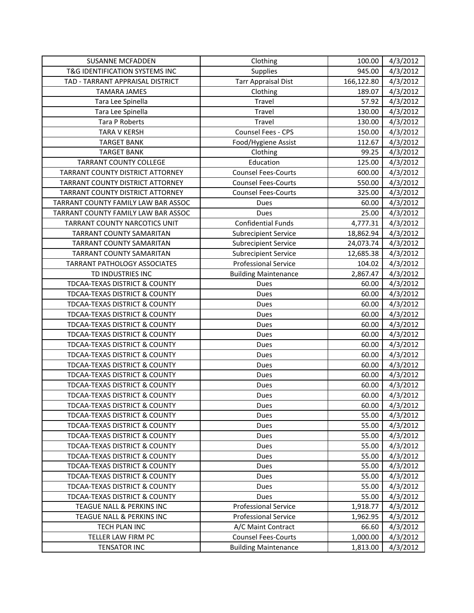| <b>SUSANNE MCFADDEN</b>                  | Clothing                    | 100.00     | 4/3/2012 |
|------------------------------------------|-----------------------------|------------|----------|
| T&G IDENTIFICATION SYSTEMS INC           | Supplies                    | 945.00     | 4/3/2012 |
| TAD - TARRANT APPRAISAL DISTRICT         | <b>Tarr Appraisal Dist</b>  | 166,122.80 | 4/3/2012 |
| <b>TAMARA JAMES</b>                      | Clothing                    | 189.07     | 4/3/2012 |
| Tara Lee Spinella                        | Travel                      | 57.92      | 4/3/2012 |
| Tara Lee Spinella                        | Travel                      | 130.00     | 4/3/2012 |
| Tara P Roberts                           | Travel                      | 130.00     | 4/3/2012 |
| <b>TARA V KERSH</b>                      | Counsel Fees - CPS          | 150.00     | 4/3/2012 |
| <b>TARGET BANK</b>                       | Food/Hygiene Assist         | 112.67     | 4/3/2012 |
| <b>TARGET BANK</b>                       | Clothing                    | 99.25      | 4/3/2012 |
| <b>TARRANT COUNTY COLLEGE</b>            | Education                   | 125.00     | 4/3/2012 |
| TARRANT COUNTY DISTRICT ATTORNEY         | <b>Counsel Fees-Courts</b>  | 600.00     | 4/3/2012 |
| TARRANT COUNTY DISTRICT ATTORNEY         | <b>Counsel Fees-Courts</b>  | 550.00     | 4/3/2012 |
| TARRANT COUNTY DISTRICT ATTORNEY         | <b>Counsel Fees-Courts</b>  | 325.00     | 4/3/2012 |
| TARRANT COUNTY FAMILY LAW BAR ASSOC      | Dues                        | 60.00      | 4/3/2012 |
| TARRANT COUNTY FAMILY LAW BAR ASSOC      | Dues                        | 25.00      | 4/3/2012 |
| TARRANT COUNTY NARCOTICS UNIT            | <b>Confidential Funds</b>   | 4,777.31   | 4/3/2012 |
| TARRANT COUNTY SAMARITAN                 | <b>Subrecipient Service</b> | 18,862.94  | 4/3/2012 |
| TARRANT COUNTY SAMARITAN                 | <b>Subrecipient Service</b> | 24,073.74  | 4/3/2012 |
| <b>TARRANT COUNTY SAMARITAN</b>          | <b>Subrecipient Service</b> | 12,685.38  | 4/3/2012 |
| <b>TARRANT PATHOLOGY ASSOCIATES</b>      | <b>Professional Service</b> | 104.02     | 4/3/2012 |
| TD INDUSTRIES INC                        | <b>Building Maintenance</b> | 2,867.47   | 4/3/2012 |
| TDCAA-TEXAS DISTRICT & COUNTY            | Dues                        | 60.00      | 4/3/2012 |
| TDCAA-TEXAS DISTRICT & COUNTY            | Dues                        | 60.00      | 4/3/2012 |
| TDCAA-TEXAS DISTRICT & COUNTY            | Dues                        | 60.00      | 4/3/2012 |
| TDCAA-TEXAS DISTRICT & COUNTY            | Dues                        | 60.00      | 4/3/2012 |
| TDCAA-TEXAS DISTRICT & COUNTY            | Dues                        | 60.00      | 4/3/2012 |
| TDCAA-TEXAS DISTRICT & COUNTY            | Dues                        | 60.00      | 4/3/2012 |
| TDCAA-TEXAS DISTRICT & COUNTY            | Dues                        | 60.00      | 4/3/2012 |
| TDCAA-TEXAS DISTRICT & COUNTY            | Dues                        | 60.00      | 4/3/2012 |
| <b>TDCAA-TEXAS DISTRICT &amp; COUNTY</b> | Dues                        | 60.00      | 4/3/2012 |
| TDCAA-TEXAS DISTRICT & COUNTY            | Dues                        | 60.00      | 4/3/2012 |
| TDCAA-TEXAS DISTRICT & COUNTY            | Dues                        | 60.00      | 4/3/2012 |
| TDCAA-TEXAS DISTRICT & COUNTY            | Dues                        | 60.00      | 4/3/2012 |
| TDCAA-TEXAS DISTRICT & COUNTY            | Dues                        | 60.00      | 4/3/2012 |
| <b>TDCAA-TEXAS DISTRICT &amp; COUNTY</b> | Dues                        | 55.00      | 4/3/2012 |
| TDCAA-TEXAS DISTRICT & COUNTY            | Dues                        | 55.00      | 4/3/2012 |
| TDCAA-TEXAS DISTRICT & COUNTY            | Dues                        | 55.00      | 4/3/2012 |
| TDCAA-TEXAS DISTRICT & COUNTY            | Dues                        | 55.00      | 4/3/2012 |
| <b>TDCAA-TEXAS DISTRICT &amp; COUNTY</b> | Dues                        | 55.00      | 4/3/2012 |
| TDCAA-TEXAS DISTRICT & COUNTY            | Dues                        | 55.00      | 4/3/2012 |
| TDCAA-TEXAS DISTRICT & COUNTY            | Dues                        | 55.00      | 4/3/2012 |
| TDCAA-TEXAS DISTRICT & COUNTY            | Dues                        | 55.00      | 4/3/2012 |
| <b>TDCAA-TEXAS DISTRICT &amp; COUNTY</b> | Dues                        | 55.00      | 4/3/2012 |
| TEAGUE NALL & PERKINS INC                | <b>Professional Service</b> | 1,918.77   | 4/3/2012 |
| TEAGUE NALL & PERKINS INC                | <b>Professional Service</b> | 1,962.95   | 4/3/2012 |
| TECH PLAN INC                            | A/C Maint Contract          | 66.60      | 4/3/2012 |
| TELLER LAW FIRM PC                       | <b>Counsel Fees-Courts</b>  | 1,000.00   | 4/3/2012 |
| <b>TENSATOR INC</b>                      | <b>Building Maintenance</b> | 1,813.00   | 4/3/2012 |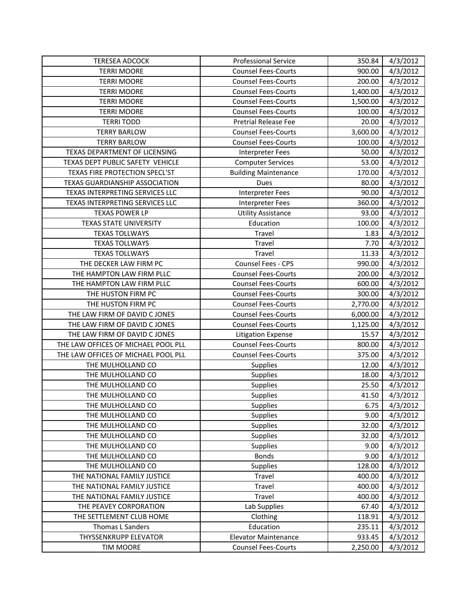| <b>TERESEA ADCOCK</b>               | <b>Professional Service</b> | 350.84   | 4/3/2012 |
|-------------------------------------|-----------------------------|----------|----------|
| <b>TERRI MOORE</b>                  | <b>Counsel Fees-Courts</b>  | 900.00   | 4/3/2012 |
| <b>TERRI MOORE</b>                  | <b>Counsel Fees-Courts</b>  | 200.00   | 4/3/2012 |
| <b>TERRI MOORE</b>                  | <b>Counsel Fees-Courts</b>  | 1,400.00 | 4/3/2012 |
| <b>TERRI MOORE</b>                  | <b>Counsel Fees-Courts</b>  | 1,500.00 | 4/3/2012 |
| <b>TERRI MOORE</b>                  | <b>Counsel Fees-Courts</b>  | 100.00   | 4/3/2012 |
| <b>TERRI TODD</b>                   | <b>Pretrial Release Fee</b> | 20.00    | 4/3/2012 |
| <b>TERRY BARLOW</b>                 | <b>Counsel Fees-Courts</b>  | 3,600.00 | 4/3/2012 |
| <b>TERRY BARLOW</b>                 | <b>Counsel Fees-Courts</b>  | 100.00   | 4/3/2012 |
| TEXAS DEPARTMENT OF LICENSING       | <b>Interpreter Fees</b>     | 50.00    | 4/3/2012 |
| TEXAS DEPT PUBLIC SAFETY VEHICLE    | <b>Computer Services</b>    | 53.00    | 4/3/2012 |
| TEXAS FIRE PROTECTION SPECL'ST      | <b>Building Maintenance</b> | 170.00   | 4/3/2012 |
| TEXAS GUARDIANSHIP ASSOCIATION      | Dues                        | 80.00    | 4/3/2012 |
| TEXAS INTERPRETING SERVICES LLC     | <b>Interpreter Fees</b>     | 90.00    | 4/3/2012 |
| TEXAS INTERPRETING SERVICES LLC     | <b>Interpreter Fees</b>     | 360.00   | 4/3/2012 |
| <b>TEXAS POWER LP</b>               | <b>Utility Assistance</b>   | 93.00    | 4/3/2012 |
| <b>TEXAS STATE UNIVERSITY</b>       | Education                   | 100.00   | 4/3/2012 |
| <b>TEXAS TOLLWAYS</b>               | Travel                      | 1.83     | 4/3/2012 |
| <b>TEXAS TOLLWAYS</b>               | Travel                      | 7.70     | 4/3/2012 |
| <b>TEXAS TOLLWAYS</b>               | Travel                      | 11.33    | 4/3/2012 |
| THE DECKER LAW FIRM PC              | Counsel Fees - CPS          | 990.00   | 4/3/2012 |
| THE HAMPTON LAW FIRM PLLC           | <b>Counsel Fees-Courts</b>  | 200.00   | 4/3/2012 |
| THE HAMPTON LAW FIRM PLLC           | <b>Counsel Fees-Courts</b>  | 600.00   | 4/3/2012 |
| THE HUSTON FIRM PC                  | <b>Counsel Fees-Courts</b>  | 300.00   | 4/3/2012 |
| THE HUSTON FIRM PC                  | <b>Counsel Fees-Courts</b>  | 2,770.00 | 4/3/2012 |
| THE LAW FIRM OF DAVID C JONES       | <b>Counsel Fees-Courts</b>  | 6,000.00 | 4/3/2012 |
| THE LAW FIRM OF DAVID C JONES       | <b>Counsel Fees-Courts</b>  | 1,125.00 | 4/3/2012 |
| THE LAW FIRM OF DAVID C JONES       | <b>Litigation Expense</b>   | 15.57    | 4/3/2012 |
| THE LAW OFFICES OF MICHAEL POOL PLL | <b>Counsel Fees-Courts</b>  | 800.00   | 4/3/2012 |
| THE LAW OFFICES OF MICHAEL POOL PLL | <b>Counsel Fees-Courts</b>  | 375.00   | 4/3/2012 |
| THE MULHOLLAND CO                   | Supplies                    | 12.00    | 4/3/2012 |
| THE MULHOLLAND CO                   | Supplies                    | 18.00    | 4/3/2012 |
| THE MULHOLLAND CO                   | Supplies                    | 25.50    | 4/3/2012 |
| THE MULHOLLAND CO                   | Supplies                    | 41.50    | 4/3/2012 |
| THE MULHOLLAND CO                   | <b>Supplies</b>             | 6.75     | 4/3/2012 |
| THE MULHOLLAND CO                   | Supplies                    | 9.00     | 4/3/2012 |
| THE MULHOLLAND CO                   | Supplies                    | 32.00    | 4/3/2012 |
| THE MULHOLLAND CO                   | Supplies                    | 32.00    | 4/3/2012 |
| THE MULHOLLAND CO                   | <b>Supplies</b>             | 9.00     | 4/3/2012 |
| THE MULHOLLAND CO                   | <b>Bonds</b>                | 9.00     | 4/3/2012 |
| THE MULHOLLAND CO                   | <b>Supplies</b>             | 128.00   | 4/3/2012 |
| THE NATIONAL FAMILY JUSTICE         | Travel                      | 400.00   | 4/3/2012 |
| THE NATIONAL FAMILY JUSTICE         | Travel                      | 400.00   | 4/3/2012 |
| THE NATIONAL FAMILY JUSTICE         | Travel                      | 400.00   | 4/3/2012 |
| THE PEAVEY CORPORATION              | Lab Supplies                | 67.40    | 4/3/2012 |
| THE SETTLEMENT CLUB HOME            | Clothing                    | 118.91   | 4/3/2012 |
| Thomas L Sanders                    | Education                   | 235.11   | 4/3/2012 |
| THYSSENKRUPP ELEVATOR               | <b>Elevator Maintenance</b> | 933.45   | 4/3/2012 |
| <b>TIM MOORE</b>                    | <b>Counsel Fees-Courts</b>  | 2,250.00 | 4/3/2012 |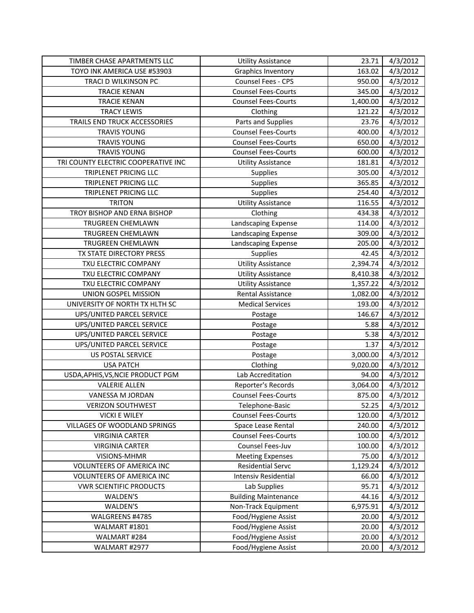| TIMBER CHASE APARTMENTS LLC         | <b>Utility Assistance</b>                  | 23.71          | 4/3/2012             |
|-------------------------------------|--------------------------------------------|----------------|----------------------|
| TOYO INK AMERICA USE #53903         | <b>Graphics Inventory</b>                  | 163.02         | 4/3/2012             |
| TRACI D WILKINSON PC                | Counsel Fees - CPS                         | 950.00         | 4/3/2012             |
| <b>TRACIE KENAN</b>                 | <b>Counsel Fees-Courts</b>                 | 345.00         | 4/3/2012             |
| <b>TRACIE KENAN</b>                 | <b>Counsel Fees-Courts</b>                 | 1,400.00       | 4/3/2012             |
| <b>TRACY LEWIS</b>                  | Clothing                                   | 121.22         | 4/3/2012             |
| TRAILS END TRUCK ACCESSORIES        | Parts and Supplies                         | 23.76          | 4/3/2012             |
| <b>TRAVIS YOUNG</b>                 | <b>Counsel Fees-Courts</b>                 | 400.00         | 4/3/2012             |
| <b>TRAVIS YOUNG</b>                 | <b>Counsel Fees-Courts</b>                 | 650.00         | 4/3/2012             |
| <b>TRAVIS YOUNG</b>                 | <b>Counsel Fees-Courts</b>                 | 600.00         | 4/3/2012             |
| TRI COUNTY ELECTRIC COOPERATIVE INC | <b>Utility Assistance</b>                  | 181.81         | 4/3/2012             |
| TRIPLENET PRICING LLC               | <b>Supplies</b>                            | 305.00         | 4/3/2012             |
| TRIPLENET PRICING LLC               | Supplies                                   | 365.85         | 4/3/2012             |
| TRIPLENET PRICING LLC               | Supplies                                   | 254.40         | 4/3/2012             |
| <b>TRITON</b>                       | <b>Utility Assistance</b>                  | 116.55         | 4/3/2012             |
| TROY BISHOP AND ERNA BISHOP         | Clothing                                   | 434.38         | 4/3/2012             |
| TRUGREEN CHEMLAWN                   | Landscaping Expense                        | 114.00         | 4/3/2012             |
| TRUGREEN CHEMLAWN                   | Landscaping Expense                        | 309.00         | 4/3/2012             |
| TRUGREEN CHEMLAWN                   | Landscaping Expense                        | 205.00         | 4/3/2012             |
| TX STATE DIRECTORY PRESS            | Supplies                                   | 42.45          | 4/3/2012             |
| TXU ELECTRIC COMPANY                | <b>Utility Assistance</b>                  | 2,394.74       | 4/3/2012             |
| TXU ELECTRIC COMPANY                | <b>Utility Assistance</b>                  | 8,410.38       | 4/3/2012             |
| TXU ELECTRIC COMPANY                | <b>Utility Assistance</b>                  | 1,357.22       | 4/3/2012             |
| UNION GOSPEL MISSION                | <b>Rental Assistance</b>                   | 1,082.00       | 4/3/2012             |
| UNIVERSITY OF NORTH TX HLTH SC      | <b>Medical Services</b>                    | 193.00         | 4/3/2012             |
| UPS/UNITED PARCEL SERVICE           | Postage                                    | 146.67         | 4/3/2012             |
|                                     |                                            |                |                      |
| UPS/UNITED PARCEL SERVICE           | Postage                                    | 5.88           | 4/3/2012             |
| UPS/UNITED PARCEL SERVICE           | Postage                                    | 5.38           | 4/3/2012             |
| UPS/UNITED PARCEL SERVICE           | Postage                                    | 1.37           | 4/3/2012             |
| <b>US POSTAL SERVICE</b>            | Postage                                    | 3,000.00       | 4/3/2012             |
| <b>USA PATCH</b>                    | Clothing                                   | 9,020.00       | 4/3/2012             |
| USDA, APHIS, VS, NCIE PRODUCT PGM   | Lab Accreditation                          | 94.00          | 4/3/2012             |
| <b>VALERIE ALLEN</b>                | Reporter's Records                         | 3,064.00       | 4/3/2012             |
| VANESSA M JORDAN                    | <b>Counsel Fees-Courts</b>                 | 875.00         | 4/3/2012             |
| VERIZON SOUTHWEST                   | Telephone-Basic                            | 52.25          | 4/3/2012             |
| <b>VICKI E WILEY</b>                | <b>Counsel Fees-Courts</b>                 | 120.00         | 4/3/2012             |
| <b>VILLAGES OF WOODLAND SPRINGS</b> | Space Lease Rental                         | 240.00         | 4/3/2012             |
| <b>VIRGINIA CARTER</b>              | <b>Counsel Fees-Courts</b>                 | 100.00         | 4/3/2012             |
| <b>VIRGINIA CARTER</b>              | Counsel Fees-Juv                           | 100.00         | 4/3/2012             |
| VISIONS-MHMR                        | <b>Meeting Expenses</b>                    | 75.00          | 4/3/2012             |
| VOLUNTEERS OF AMERICA INC           | <b>Residential Servc</b>                   | 1,129.24       | 4/3/2012             |
| VOLUNTEERS OF AMERICA INC           | <b>Intensiv Residential</b>                | 66.00          | 4/3/2012             |
| <b>VWR SCIENTIFIC PRODUCTS</b>      | Lab Supplies                               | 95.71          | 4/3/2012             |
| WALDEN'S                            | <b>Building Maintenance</b>                | 44.16          | 4/3/2012             |
| WALDEN'S                            | Non-Track Equipment                        | 6,975.91       | 4/3/2012             |
| WALGREENS #4785                     | Food/Hygiene Assist                        | 20.00          | 4/3/2012             |
| WALMART #1801                       | Food/Hygiene Assist                        | 20.00          | 4/3/2012             |
| WALMART #284<br>WALMART #2977       | Food/Hygiene Assist<br>Food/Hygiene Assist | 20.00<br>20.00 | 4/3/2012<br>4/3/2012 |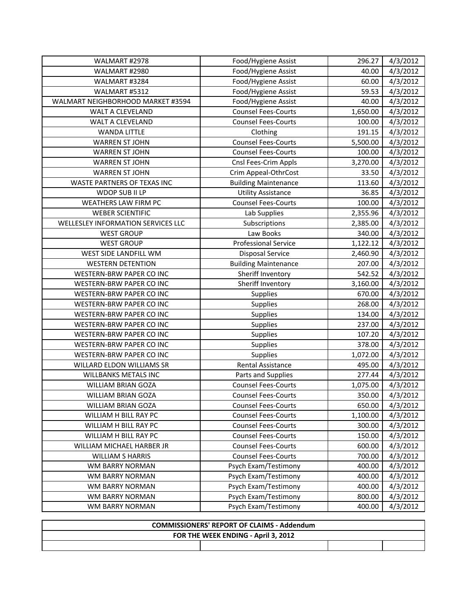| WALMART #2978                      | Food/Hygiene Assist         | 296.27   | 4/3/2012 |
|------------------------------------|-----------------------------|----------|----------|
| WALMART #2980                      | Food/Hygiene Assist         | 40.00    | 4/3/2012 |
| WALMART #3284                      | Food/Hygiene Assist         | 60.00    | 4/3/2012 |
| WALMART #5312                      | Food/Hygiene Assist         | 59.53    | 4/3/2012 |
| WALMART NEIGHBORHOOD MARKET #3594  | Food/Hygiene Assist         | 40.00    | 4/3/2012 |
| WALT A CLEVELAND                   | <b>Counsel Fees-Courts</b>  | 1,650.00 | 4/3/2012 |
| WALT A CLEVELAND                   | <b>Counsel Fees-Courts</b>  | 100.00   | 4/3/2012 |
| <b>WANDA LITTLE</b>                | Clothing                    | 191.15   | 4/3/2012 |
| <b>WARREN ST JOHN</b>              | <b>Counsel Fees-Courts</b>  | 5,500.00 | 4/3/2012 |
| <b>WARREN ST JOHN</b>              | <b>Counsel Fees-Courts</b>  | 100.00   | 4/3/2012 |
| <b>WARREN ST JOHN</b>              | Cnsl Fees-Crim Appls        | 3,270.00 | 4/3/2012 |
| <b>WARREN ST JOHN</b>              | Crim Appeal-OthrCost        | 33.50    | 4/3/2012 |
| WASTE PARTNERS OF TEXAS INC        | <b>Building Maintenance</b> | 113.60   | 4/3/2012 |
| WDOP SUB II LP                     | <b>Utility Assistance</b>   | 36.85    | 4/3/2012 |
| WEATHERS LAW FIRM PC               | <b>Counsel Fees-Courts</b>  | 100.00   | 4/3/2012 |
| <b>WEBER SCIENTIFIC</b>            | Lab Supplies                | 2,355.96 | 4/3/2012 |
| WELLESLEY INFORMATION SERVICES LLC | Subscriptions               | 2,385.00 | 4/3/2012 |
| <b>WEST GROUP</b>                  | Law Books                   | 340.00   | 4/3/2012 |
| <b>WEST GROUP</b>                  | <b>Professional Service</b> | 1,122.12 | 4/3/2012 |
| WEST SIDE LANDFILL WM              | <b>Disposal Service</b>     | 2,460.90 | 4/3/2012 |
| <b>WESTERN DETENTION</b>           | <b>Building Maintenance</b> | 207.00   | 4/3/2012 |
| WESTERN-BRW PAPER CO INC           | Sheriff Inventory           | 542.52   | 4/3/2012 |
| WESTERN-BRW PAPER CO INC           | Sheriff Inventory           | 3,160.00 | 4/3/2012 |
| WESTERN-BRW PAPER CO INC           | Supplies                    | 670.00   | 4/3/2012 |
| WESTERN-BRW PAPER CO INC           | Supplies                    | 268.00   | 4/3/2012 |
| WESTERN-BRW PAPER CO INC           | Supplies                    | 134.00   | 4/3/2012 |
| WESTERN-BRW PAPER CO INC           | Supplies                    | 237.00   | 4/3/2012 |
| WESTERN-BRW PAPER CO INC           | Supplies                    | 107.20   | 4/3/2012 |
| WESTERN-BRW PAPER CO INC           | Supplies                    | 378.00   | 4/3/2012 |
| WESTERN-BRW PAPER CO INC           | Supplies                    | 1,072.00 | 4/3/2012 |
| WILLARD ELDON WILLIAMS SR          | <b>Rental Assistance</b>    | 495.00   | 4/3/2012 |
| <b>WILLBANKS METALS INC</b>        | Parts and Supplies          | 277.44   | 4/3/2012 |
| <b>WILLIAM BRIAN GOZA</b>          | <b>Counsel Fees-Courts</b>  | 1,075.00 | 4/3/2012 |
| WILLIAM BRIAN GOZA                 | <b>Counsel Fees-Courts</b>  | 350.00   | 4/3/2012 |
| WILLIAM BRIAN GOZA                 | <b>Counsel Fees-Courts</b>  | 650.00   | 4/3/2012 |
| WILLIAM H BILL RAY PC              | <b>Counsel Fees-Courts</b>  | 1,100.00 | 4/3/2012 |
| WILLIAM H BILL RAY PC              | <b>Counsel Fees-Courts</b>  | 300.00   | 4/3/2012 |
| WILLIAM H BILL RAY PC              | <b>Counsel Fees-Courts</b>  | 150.00   | 4/3/2012 |
| WILLIAM MICHAEL HARBER JR          | <b>Counsel Fees-Courts</b>  | 600.00   | 4/3/2012 |
| <b>WILLIAM S HARRIS</b>            | <b>Counsel Fees-Courts</b>  | 700.00   | 4/3/2012 |
| WM BARRY NORMAN                    | Psych Exam/Testimony        | 400.00   | 4/3/2012 |
| WM BARRY NORMAN                    | Psych Exam/Testimony        | 400.00   | 4/3/2012 |
| WM BARRY NORMAN                    | Psych Exam/Testimony        | 400.00   | 4/3/2012 |
| WM BARRY NORMAN                    | Psych Exam/Testimony        | 800.00   | 4/3/2012 |
| WM BARRY NORMAN                    | Psych Exam/Testimony        | 400.00   | 4/3/2012 |

|                                     | <b>COMMISSIONERS' REPORT OF CLAIMS - Addendum</b> |  |
|-------------------------------------|---------------------------------------------------|--|
| FOR THE WEEK ENDING - April 3, 2012 |                                                   |  |
|                                     |                                                   |  |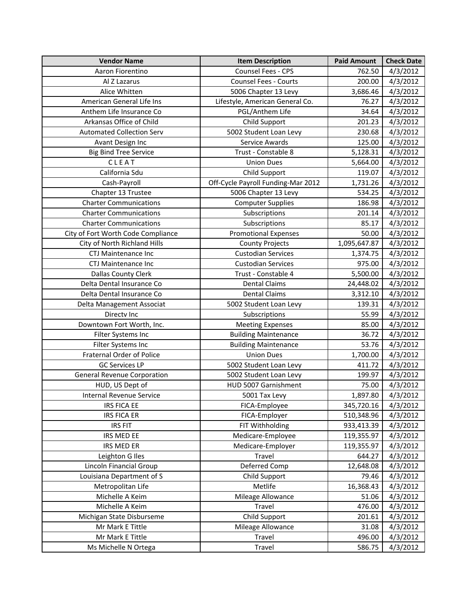| <b>Vendor Name</b>                 | <b>Item Description</b>            | <b>Paid Amount</b> | <b>Check Date</b> |
|------------------------------------|------------------------------------|--------------------|-------------------|
| Aaron Fiorentino                   | Counsel Fees - CPS                 | 762.50             | 4/3/2012          |
| Al Z Lazarus                       | <b>Counsel Fees - Courts</b>       | 200.00             | 4/3/2012          |
| Alice Whitten                      | 5006 Chapter 13 Levy               | 3,686.46           | 4/3/2012          |
| American General Life Ins          | Lifestyle, American General Co.    | 76.27              | 4/3/2012          |
| Anthem Life Insurance Co           | PGL/Anthem Life                    | 34.64              | 4/3/2012          |
| Arkansas Office of Child           | Child Support                      | 201.23             | 4/3/2012          |
| <b>Automated Collection Serv</b>   | 5002 Student Loan Levy             | 230.68             | 4/3/2012          |
| Avant Design Inc                   | Service Awards                     | 125.00             | 4/3/2012          |
| <b>Big Bind Tree Service</b>       | Trust - Constable 8                | 5,128.31           | 4/3/2012          |
| CLEAT                              | <b>Union Dues</b>                  | 5,664.00           | 4/3/2012          |
| California Sdu                     | Child Support                      | 119.07             | 4/3/2012          |
| Cash-Payroll                       | Off-Cycle Payroll Funding-Mar 2012 | 1,731.26           | 4/3/2012          |
| Chapter 13 Trustee                 | 5006 Chapter 13 Levy               | 534.25             | 4/3/2012          |
| <b>Charter Communications</b>      | <b>Computer Supplies</b>           | 186.98             | 4/3/2012          |
| <b>Charter Communications</b>      | Subscriptions                      | 201.14             | 4/3/2012          |
| <b>Charter Communications</b>      | Subscriptions                      | 85.17              | 4/3/2012          |
| City of Fort Worth Code Compliance | <b>Promotional Expenses</b>        | 50.00              | 4/3/2012          |
| City of North Richland Hills       | <b>County Projects</b>             | 1,095,647.87       | 4/3/2012          |
| <b>CTJ Maintenance Inc</b>         | <b>Custodian Services</b>          | 1,374.75           | 4/3/2012          |
| <b>CTJ Maintenance Inc</b>         | <b>Custodian Services</b>          | 975.00             | 4/3/2012          |
| <b>Dallas County Clerk</b>         | Trust - Constable 4                | 5,500.00           | 4/3/2012          |
| Delta Dental Insurance Co          | <b>Dental Claims</b>               | 24,448.02          | 4/3/2012          |
| Delta Dental Insurance Co          | <b>Dental Claims</b>               | 3,312.10           | 4/3/2012          |
| Delta Management Associat          | 5002 Student Loan Levy             | 139.31             | 4/3/2012          |
| Directv Inc                        | Subscriptions                      | 55.99              | 4/3/2012          |
| Downtown Fort Worth, Inc.          | <b>Meeting Expenses</b>            | 85.00              | 4/3/2012          |
| Filter Systems Inc                 | <b>Building Maintenance</b>        | 36.72              | 4/3/2012          |
| Filter Systems Inc                 | <b>Building Maintenance</b>        | 53.76              | 4/3/2012          |
| Fraternal Order of Police          | <b>Union Dues</b>                  | 1,700.00           | 4/3/2012          |
| <b>GC Services LP</b>              | 5002 Student Loan Levy             | 411.72             | 4/3/2012          |
| <b>General Revenue Corporation</b> | 5002 Student Loan Levy             | 199.97             | 4/3/2012          |
| HUD, US Dept of                    | HUD 5007 Garnishment               | 75.00              | 4/3/2012          |
| Internal Revenue Service           | 5001 Tax Levy                      | 1,897.80           | 4/3/2012          |
| IRS FICA EE                        | FICA-Employee                      | 345,720.16         | 4/3/2012          |
| <b>IRS FICA ER</b>                 | FICA-Employer                      | 510,348.96         | 4/3/2012          |
| <b>IRS FIT</b>                     | FIT Withholding                    | 933,413.39         | 4/3/2012          |
| IRS MED EE                         | Medicare-Employee                  | 119,355.97         | 4/3/2012          |
| <b>IRS MED ER</b>                  | Medicare-Employer                  | 119,355.97         | 4/3/2012          |
| Leighton G Iles                    | Travel                             | 644.27             | 4/3/2012          |
| Lincoln Financial Group            | Deferred Comp                      | 12,648.08          | 4/3/2012          |
| Louisiana Department of S          | Child Support                      | 79.46              | 4/3/2012          |
| Metropolitan Life                  | Metlife                            | 16,368.43          | 4/3/2012          |
| Michelle A Keim                    | Mileage Allowance                  | 51.06              | 4/3/2012          |
| Michelle A Keim                    | Travel                             | 476.00             | 4/3/2012          |
| Michigan State Disburseme          | Child Support                      | 201.61             | 4/3/2012          |
| Mr Mark E Tittle                   | Mileage Allowance                  | 31.08              | 4/3/2012          |
| Mr Mark E Tittle                   | Travel                             | 496.00             | 4/3/2012          |
| Ms Michelle N Ortega               | Travel                             | 586.75             | 4/3/2012          |